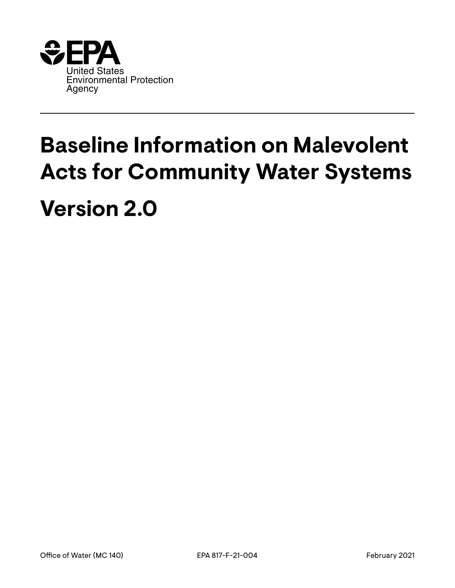

# **Baseline Information on Malevolent Acts for Community Water Systems Version 2.0**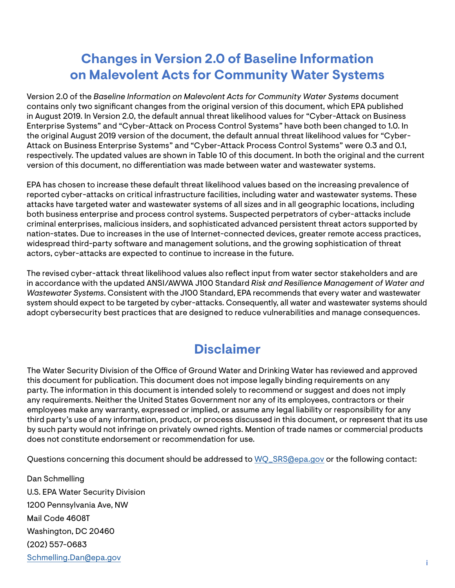# <span id="page-1-0"></span>**Changes in Version 2.0 of Baseline Information on Malevolent Acts for Community Water Systems**

version of this document, no differentiation was made between water and wastewater systems. Version 2.0 of the *Baseline Information on Malevolent Acts for Community Water Systems* document contains only two signifcant changes from the original version of this document, which EPA published in August 2019. In Version 2.0, the default annual threat likelihood values for "Cyber-Attack on Business Enterprise Systems" and "Cyber-Attack on Process Control Systems" have both been changed to 1.0. In the original August 2019 version of the document, the default annual threat likelihood values for "Cyber-Attack on Business Enterprise Systems" and "Cyber-Attack Process Control Systems" were 0.3 and 0.1, respectively. The updated values are shown in Table 10 of this document. In both the original and the current

EPA has chosen to increase these default threat likelihood values based on the increasing prevalence of reported cyber-attacks on critical infrastructure facilities, including water and wastewater systems. These attacks have targeted water and wastewater systems of all sizes and in all geographic locations, including both business enterprise and process control systems. Suspected perpetrators of cyber-attacks include criminal enterprises, malicious insiders, and sophisticated advanced persistent threat actors supported by nation-states. Due to increases in the use of Internet-connected devices, greater remote access practices, widespread third-party software and management solutions, and the growing sophistication of threat actors, cyber-attacks are expected to continue to increase in the future.

The revised cyber-attack threat likelihood values also refect input from water sector stakeholders and are in accordance with the updated ANSI/AWWA J100 Standard *Risk and Resilience Management of Water and Wastewater Systems*. Consistent with the J100 Standard, EPA recommends that every water and wastewater system should expect to be targeted by cyber-attacks. Consequently, all water and wastewater systems should adopt cybersecurity best practices that are designed to reduce vulnerabilities and manage consequences.

# **Disclaimer**

The Water Security Division of the Office of Ground Water and Drinking Water has reviewed and approved this document for publication. This document does not impose legally binding requirements on any party. The information in this document is intended solely to recommend or suggest and does not imply any requirements. Neither the United States Government nor any of its employees, contractors or their employees make any warranty, expressed or implied, or assume any legal liability or responsibility for any third party's use of any information, product, or process discussed in this document, or represent that its use by such party would not infringe on privately owned rights. Mention of trade names or commercial products does not constitute endorsement or recommendation for use.

Questions concerning this document should be addressed to [WQ\\_SRS@epa.gov](http://WQ_SRS@epa.gov) or the following contact:

Dan Schmelling U.S. EPA Water Security Division 1200 Pennsylvania Ave, NW Mail Code 4608T Washington, DC 20460 (202) 557-0683 [Schmelling.Dan@epa.gov](mailto:Schmelling.Dan%40epa.gov?subject=) i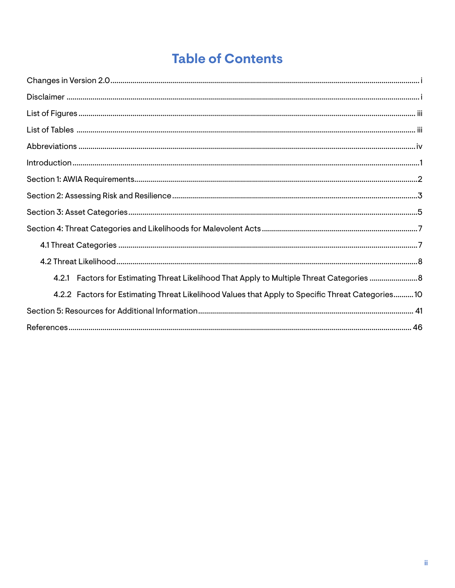# **Table of Contents**

| 4.2.1 Factors for Estimating Threat Likelihood That Apply to Multiple Threat Categories 8        |  |
|--------------------------------------------------------------------------------------------------|--|
| 4.2.2 Factors for Estimating Threat Likelihood Values that Apply to Specific Threat Categories10 |  |
|                                                                                                  |  |
|                                                                                                  |  |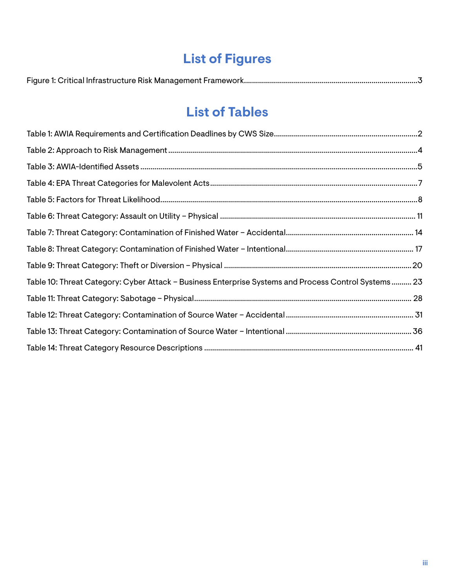# **List of Figures**

<span id="page-3-0"></span>

|--|--|--|

# **List of Tables**

| Table 10: Threat Category: Cyber Attack - Business Enterprise Systems and Process Control Systems 23 |  |
|------------------------------------------------------------------------------------------------------|--|
|                                                                                                      |  |
|                                                                                                      |  |
|                                                                                                      |  |
|                                                                                                      |  |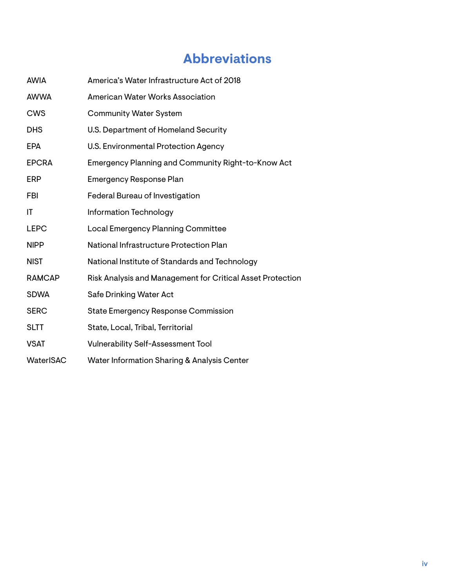# **Abbreviations**

<span id="page-4-0"></span>

| <b>AWIA</b>      | America's Water Infrastructure Act of 2018                 |
|------------------|------------------------------------------------------------|
| <b>AWWA</b>      | <b>American Water Works Association</b>                    |
| <b>CWS</b>       | <b>Community Water System</b>                              |
| <b>DHS</b>       | U.S. Department of Homeland Security                       |
| <b>EPA</b>       | U.S. Environmental Protection Agency                       |
| <b>EPCRA</b>     | Emergency Planning and Community Right-to-Know Act         |
| <b>ERP</b>       | <b>Emergency Response Plan</b>                             |
| FBI              | Federal Bureau of Investigation                            |
| IT               | Information Technology                                     |
| <b>LEPC</b>      | Local Emergency Planning Committee                         |
| <b>NIPP</b>      | National Infrastructure Protection Plan                    |
| <b>NIST</b>      | National Institute of Standards and Technology             |
| <b>RAMCAP</b>    | Risk Analysis and Management for Critical Asset Protection |
| <b>SDWA</b>      | Safe Drinking Water Act                                    |
| <b>SERC</b>      | <b>State Emergency Response Commission</b>                 |
| <b>SLTT</b>      | State, Local, Tribal, Territorial                          |
| <b>VSAT</b>      | <b>Vulnerability Self-Assessment Tool</b>                  |
| <b>WaterISAC</b> | Water Information Sharing & Analysis Center                |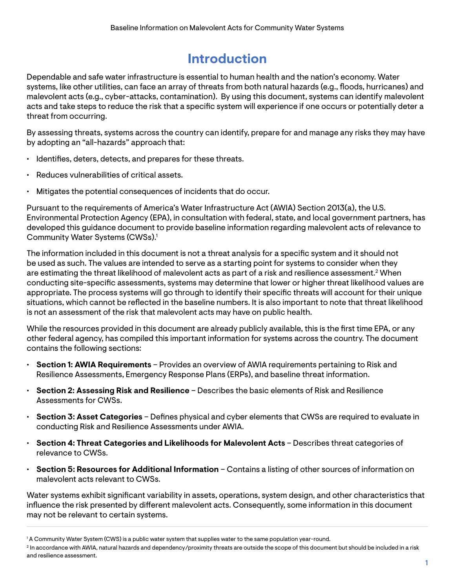# **Introduction**

<span id="page-5-0"></span>Dependable and safe water infrastructure is essential to human health and the nation's economy. Water systems, like other utilities, can face an array of threats from both natural hazards (e.g., foods, hurricanes) and malevolent acts (e.g., cyber-attacks, contamination). By using this document, systems can identify malevolent acts and take steps to reduce the risk that a specific system will experience if one occurs or potentially deter a threat from occurring.

By assessing threats, systems across the country can identify, prepare for and manage any risks they may have by adopting an "all-hazards" approach that:

- Identifes, deters, detects, and prepares for these threats.
- Reduces vulnerabilities of critical assets.
- Mitigates the potential consequences of incidents that do occur.

Pursuant to the requirements of America's Water Infrastructure Act (AWIA) Section 2013(a), the U.S. Environmental Protection Agency (EPA), in consultation with federal, state, and local government partners, has developed this guidance document to provide baseline information regarding malevolent acts of relevance to Community Water Systems (CWSs).<sup>1</sup>

The information included in this document is not a threat analysis for a specific system and it should not be used as such. The values are intended to serve as a starting point for systems to consider when they are estimating the threat likelihood of malevolent acts as part of a risk and resilience assessment.<sup>2</sup> When conducting site-specifc assessments, systems may determine that lower or higher threat likelihood values are appropriate. The process systems will go through to identify their specifc threats will account for their unique situations, which cannot be refected in the baseline numbers. It is also important to note that threat likelihood is not an assessment of the risk that malevolent acts may have on public health.

While the resources provided in this document are already publicly available, this is the first time EPA, or any other federal agency, has compiled this important information for systems across the country. The document contains the following sections:

- **Section 1: AWIA Requirements** Provides an overview of AWIA requirements pertaining to Risk and Resilience Assessments, Emergency Response Plans (ERPs), and baseline threat information.
- **Section 2: Assessing Risk and Resilience** Describes the basic elements of Risk and Resilience Assessments for CWSs.
- **Section 3: Asset Categories** Defnes physical and cyber elements that CWSs are required to evaluate in conducting Risk and Resilience Assessments under AWIA.
- **Section 4: Threat Categories and Likelihoods for Malevolent Acts** Describes threat categories of relevance to CWSs.
- **Section 5: Resources for Additional Information** Contains a listing of other sources of information on malevolent acts relevant to CWSs.

Water systems exhibit signifcant variability in assets, operations, system design, and other characteristics that infuence the risk presented by diferent malevolent acts. Consequently, some information in this document may not be relevant to certain systems.

<sup>1</sup> A Community Water System (CWS) is a public water system that supplies water to the same population year-round.

<sup>&</sup>lt;sup>2</sup> In accordance with AWIA, natural hazards and dependency/proximity threats are outside the scope of this document but should be included in a risk and resilience assessment.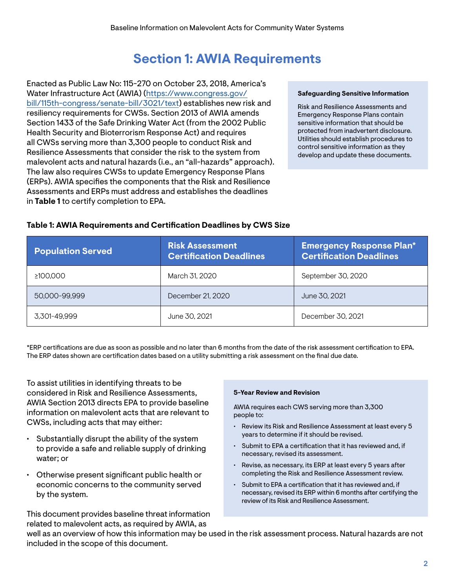# **Section 1: AWIA Requirements**

<span id="page-6-0"></span>Enacted as Public Law No: 115-270 on October 23, 2018, America's Water Infrastructure Act (AWIA) ([https://www.congress.gov/](https://www.congress.gov/bill/115th-congress/senate-bill/3021/text)  [bill/115th-congress/senate-bill/3021/text\)](https://www.congress.gov/bill/115th-congress/senate-bill/3021/text) establishes new risk and resiliency requirements for CWSs. Section 2013 of AWIA amends Section 1433 of the Safe Drinking Water Act (from the 2002 Public Health Security and Bioterrorism Response Act) and requires all CWSs serving more than 3,300 people to conduct Risk and Resilience Assessments that consider the risk to the system from malevolent acts and natural hazards (i.e., an "all-hazards" approach). The law also requires CWSs to update Emergency Response Plans (ERPs). AWIA specifes the components that the Risk and Resilience Assessments and ERPs must address and establishes the deadlines in **Table 1** to certify completion to EPA.

#### **Safeguarding Sensitive Information**

Risk and Resilience Assessments and Emergency Response Plans contain sensitive information that should be protected from inadvertent disclosure. Utilities should establish procedures to control sensitive information as they develop and update these documents.

| <b>Population Served</b> | <b>Risk Assessment</b><br><b>Certification Deadlines</b> | <b>Emergency Response Plan*</b><br><b>Certification Deadlines</b> |
|--------------------------|----------------------------------------------------------|-------------------------------------------------------------------|
| ≥100.000                 | March 31, 2020                                           | September 30, 2020                                                |
| 50,000-99,999            | December 21, 2020                                        | June 30, 2021                                                     |
| 3.301-49.999             | June 30, 2021                                            | December 30, 2021                                                 |

#### **Table 1: AWIA Requirements and Certifcation Deadlines by CWS Size**

\*ERP certifcations are due as soon as possible and no later than 6 months from the date of the risk assessment certifcation to EPA. The ERP dates shown are certifcation dates based on a utility submitting a risk assessment on the fnal due date.

To assist utilities in identifying threats to be considered in Risk and Resilience Assessments, AWIA Section 2013 directs EPA to provide baseline information on malevolent acts that are relevant to CWSs, including acts that may either:

- $\cdot$  Substantially disrupt the ability of the system to provide a safe and reliable supply of drinking water; or
- Otherwise present signifcant public health or economic concerns to the community served by the system.

This document provides baseline threat information related to malevolent acts, as required by AWIA, as

#### **5-Year Review and Revision**

AWIA requires each CWS serving more than 3,300 people to:

- Review its Risk and Resilience Assessment at least every 5 years to determine if it should be revised.
- Submit to EPA a certification that it has reviewed and, if necessary, revised its assessment.
- Revise, as necessary, its ERP at least every 5 years after completing the Risk and Resilience Assessment review.
- Submit to EPA a certification that it has reviewed and, if necessary, revised its ERP within 6 months after certifying the review of its Risk and Resilience Assessment.

well as an overview of how this information may be used in the risk assessment process. Natural hazards are not included in the scope of this document.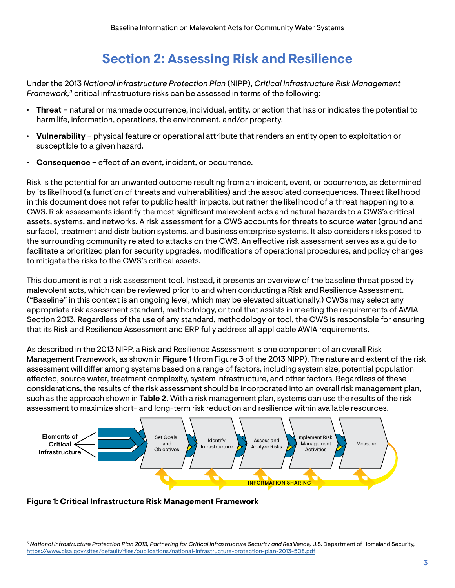# **Section 2: Assessing Risk and Resilience**

<span id="page-7-0"></span>Under the 2013 *National Infrastructure Protection Plan* (NIPP), *Critical Infrastructure Risk Management Framework,*3 critical infrastructure risks can be assessed in terms of the following:

- **Threat** natural or manmade occurrence, individual, entity, or action that has or indicates the potential to harm life, information, operations, the environment, and/or property.
- **Vulnerability** physical feature or operational attribute that renders an entity open to exploitation or susceptible to a given hazard.
- **Consequence** effect of an event, incident, or occurrence.

Risk is the potential for an unwanted outcome resulting from an incident, event, or occurrence, as determined by its likelihood (a function of threats and vulnerabilities) and the associated consequences. Threat likelihood in this document does not refer to public health impacts, but rather the likelihood of a threat happening to a CWS. Risk assessments identify the most signifcant malevolent acts and natural hazards to a CWS's critical assets, systems, and networks. A risk assessment for a CWS accounts for threats to source water (ground and surface), treatment and distribution systems, and business enterprise systems. It also considers risks posed to the surrounding community related to attacks on the CWS. An efective risk assessment serves as a guide to facilitate a prioritized plan for security upgrades, modifcations of operational procedures, and policy changes to mitigate the risks to the CWS's critical assets.

This document is not a risk assessment tool. Instead, it presents an overview of the baseline threat posed by malevolent acts, which can be reviewed prior to and when conducting a Risk and Resilience Assessment. ("Baseline" in this context is an ongoing level, which may be elevated situationally.) CWSs may select any appropriate risk assessment standard, methodology, or tool that assists in meeting the requirements of AWIA Section 2013. Regardless of the use of any standard, methodology or tool, the CWS is responsible for ensuring that its Risk and Resilience Assessment and ERP fully address all applicable AWIA requirements.

As described in the 2013 NIPP, a Risk and Resilience Assessment is one component of an overall Risk Management Framework, as shown in **Figure 1** (from Figure 3 of the 2013 NIPP). The nature and extent of the risk assessment will difer among systems based on a range of factors, including system size, potential population afected, source water, treatment complexity, system infrastructure, and other factors. Regardless of these considerations, the results of the risk assessment should be incorporated into an overall risk management plan, such as the approach shown in **Table 2**. With a risk management plan, systems can use the results of the risk assessment to maximize short- and long-term risk reduction and resilience within available resources.



### **Figure 1: Critical Infrastructure Risk Management Framework**

<sup>3</sup>*National Infrastructure Protection Plan 2013, Partnering for Critical Infrastructure Security and Resilience,* U.S. Department of Homeland Security, [https://www.cisa.gov/sites/default/fles/publications/national-infrastructure-protection-plan-2013-508.pdf](https://www.cisa.gov/sites/default/files/publications/national-infrastructure-protection-plan-2013-508.pdf)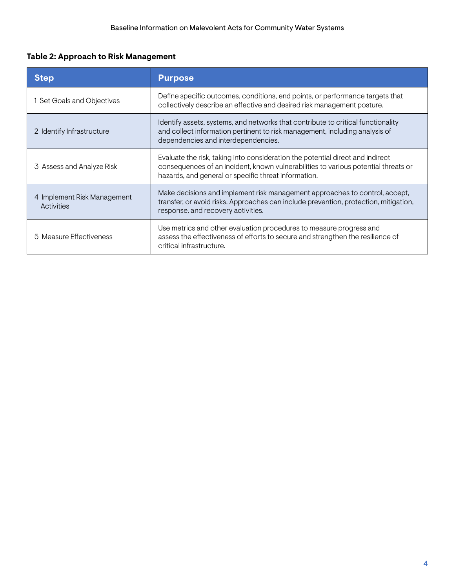# <span id="page-8-0"></span>**Table 2: Approach to Risk Management**

| <b>Step</b>                               | <b>Purpose</b>                                                                                                                                                                                                               |  |
|-------------------------------------------|------------------------------------------------------------------------------------------------------------------------------------------------------------------------------------------------------------------------------|--|
| 1 Set Goals and Objectives                | Define specific outcomes, conditions, end points, or performance targets that<br>collectively describe an effective and desired risk management posture.                                                                     |  |
| 2 Identify Infrastructure                 | Identify assets, systems, and networks that contribute to critical functionality<br>and collect information pertinent to risk management, including analysis of<br>dependencies and interdependencies.                       |  |
| 3 Assess and Analyze Risk                 | Evaluate the risk, taking into consideration the potential direct and indirect<br>consequences of an incident, known vulnerabilities to various potential threats or<br>hazards, and general or specific threat information. |  |
| 4 Implement Risk Management<br>Activities | Make decisions and implement risk management approaches to control, accept,<br>transfer, or avoid risks. Approaches can include prevention, protection, mitigation,<br>response, and recovery activities.                    |  |
| 5 Measure Effectiveness                   | Use metrics and other evaluation procedures to measure progress and<br>assess the effectiveness of efforts to secure and strengthen the resilience of<br>critical infrastructure.                                            |  |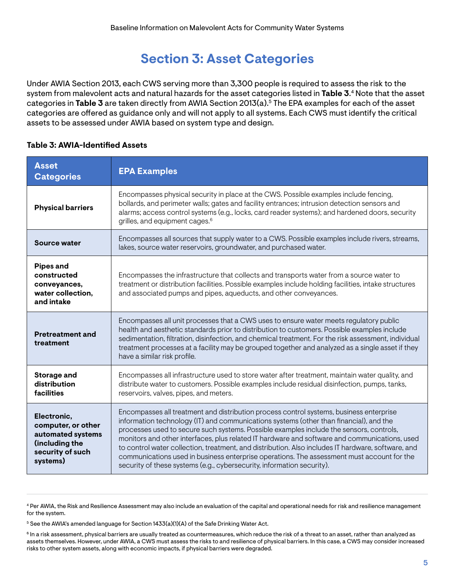# **Section 3: Asset Categories**

<span id="page-9-0"></span>Under AWIA Section 2013, each CWS serving more than 3,300 people is required to assess the risk to the system from malevolent acts and natural hazards for the asset categories listed in **Table 3**. 4 Note that the asset categories in **Table 3** are taken directly from AWIA Section 2013(a).5 The EPA examples for each of the asset categories are ofered as guidance only and will not apply to all systems. Each CWS must identify the critical assets to be assessed under AWIA based on system type and design.

| <b>Asset</b><br><b>Categories</b>                                                                        | <b>EPA Examples</b>                                                                                                                                                                                                                                                                                                                                                                                                                                                                                                                                                                                                                                         |  |  |
|----------------------------------------------------------------------------------------------------------|-------------------------------------------------------------------------------------------------------------------------------------------------------------------------------------------------------------------------------------------------------------------------------------------------------------------------------------------------------------------------------------------------------------------------------------------------------------------------------------------------------------------------------------------------------------------------------------------------------------------------------------------------------------|--|--|
| <b>Physical barriers</b>                                                                                 | Encompasses physical security in place at the CWS. Possible examples include fencing,<br>bollards, and perimeter walls; gates and facility entrances; intrusion detection sensors and<br>alarms; access control systems (e.g., locks, card reader systems); and hardened doors, security<br>grilles, and equipment cages. <sup>6</sup>                                                                                                                                                                                                                                                                                                                      |  |  |
| Source water                                                                                             | Encompasses all sources that supply water to a CWS. Possible examples include rivers, streams,<br>lakes, source water reservoirs, groundwater, and purchased water.                                                                                                                                                                                                                                                                                                                                                                                                                                                                                         |  |  |
| <b>Pipes and</b><br>constructed<br>conveyances,<br>water collection,<br>and intake                       | Encompasses the infrastructure that collects and transports water from a source water to<br>treatment or distribution facilities. Possible examples include holding facilities, intake structures<br>and associated pumps and pipes, aqueducts, and other conveyances.                                                                                                                                                                                                                                                                                                                                                                                      |  |  |
| <b>Pretreatment and</b><br>treatment                                                                     | Encompasses all unit processes that a CWS uses to ensure water meets regulatory public<br>health and aesthetic standards prior to distribution to customers. Possible examples include<br>sedimentation, filtration, disinfection, and chemical treatment. For the risk assessment, individual<br>treatment processes at a facility may be grouped together and analyzed as a single asset if they<br>have a similar risk profile.                                                                                                                                                                                                                          |  |  |
| Storage and<br>distribution<br>facilities                                                                | Encompasses all infrastructure used to store water after treatment, maintain water quality, and<br>distribute water to customers. Possible examples include residual disinfection, pumps, tanks,<br>reservoirs, valves, pipes, and meters.                                                                                                                                                                                                                                                                                                                                                                                                                  |  |  |
| Electronic,<br>computer, or other<br>automated systems<br>(including the<br>security of such<br>systems) | Encompasses all treatment and distribution process control systems, business enterprise<br>information technology (IT) and communications systems (other than financial), and the<br>processes used to secure such systems. Possible examples include the sensors, controls,<br>monitors and other interfaces, plus related IT hardware and software and communications, used<br>to control water collection, treatment, and distribution. Also includes IT hardware, software, and<br>communications used in business enterprise operations. The assessment must account for the<br>security of these systems (e.g., cybersecurity, information security). |  |  |

#### **Table 3: AWIA-Identifed Assets**

5 See the AWIA's amended language for Section 1433(a)(1)(A) of the Safe Drinking Water Act.

<sup>4</sup> Per AWIA, the Risk and Resilience Assessment may also include an evaluation of the capital and operational needs for risk and resilience management for the system.

<sup>&</sup>lt;sup>6</sup> In a risk assessment, physical barriers are usually treated as countermeasures, which reduce the risk of a threat to an asset, rather than analyzed as assets themselves. However, under AWIA, a CWS must assess the risks to and resilience of physical barriers. In this case, a CWS may consider increased risks to other system assets, along with economic impacts, if physical barriers were degraded.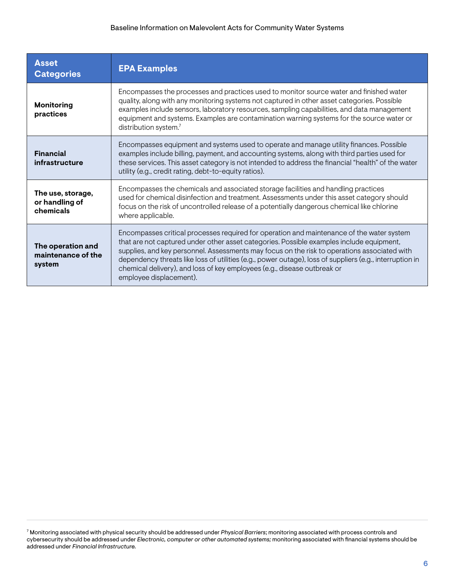| <b>Asset</b><br><b>Categories</b>                                                                                                                                                                                                                                                                                                                                                                                                                                                                                                                             | <b>EPA Examples</b>                                                                                                                                                                                                                                                                                                                                                                                        |  |
|---------------------------------------------------------------------------------------------------------------------------------------------------------------------------------------------------------------------------------------------------------------------------------------------------------------------------------------------------------------------------------------------------------------------------------------------------------------------------------------------------------------------------------------------------------------|------------------------------------------------------------------------------------------------------------------------------------------------------------------------------------------------------------------------------------------------------------------------------------------------------------------------------------------------------------------------------------------------------------|--|
| <b>Monitoring</b><br>practices                                                                                                                                                                                                                                                                                                                                                                                                                                                                                                                                | Encompasses the processes and practices used to monitor source water and finished water<br>quality, along with any monitoring systems not captured in other asset categories. Possible<br>examples include sensors, laboratory resources, sampling capabilities, and data management<br>equipment and systems. Examples are contamination warning systems for the source water or<br>distribution system.7 |  |
| <b>Financial</b><br>infrastructure                                                                                                                                                                                                                                                                                                                                                                                                                                                                                                                            | Encompasses equipment and systems used to operate and manage utility finances. Possible<br>examples include billing, payment, and accounting systems, along with third parties used for<br>these services. This asset category is not intended to address the financial "health" of the water<br>utility (e.g., credit rating, debt-to-equity ratios).                                                     |  |
| The use, storage,<br>or handling of<br>chemicals                                                                                                                                                                                                                                                                                                                                                                                                                                                                                                              | Encompasses the chemicals and associated storage facilities and handling practices<br>used for chemical disinfection and treatment. Assessments under this asset category should<br>focus on the risk of uncontrolled release of a potentially dangerous chemical like chlorine<br>where applicable.                                                                                                       |  |
| Encompasses critical processes required for operation and maintenance of the water system<br>that are not captured under other asset categories. Possible examples include equipment,<br>The operation and<br>supplies, and key personnel. Assessments may focus on the risk to operations associated with<br>maintenance of the<br>dependency threats like loss of utilities (e.g., power outage), loss of suppliers (e.g., interruption in<br>system<br>chemical delivery), and loss of key employees (e.g., disease outbreak or<br>employee displacement). |                                                                                                                                                                                                                                                                                                                                                                                                            |  |

<sup>7</sup> Monitoring associated with physical security should be addressed under *Physical Barriers*; monitoring associated with process controls and cybersecurity should be addressed under *Electronic, computer or other automated systems;* monitoring associated with fnancial systems should be addressed under *Financial Infrastructure.*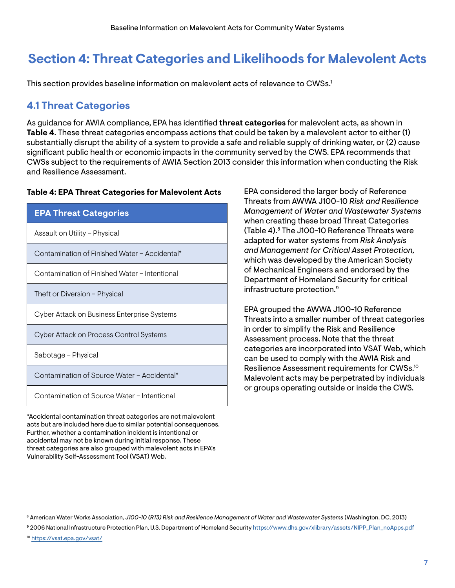# <span id="page-11-0"></span>**Section 4: Threat Categories and Likelihoods for Malevolent Acts**

This section provides baseline information on malevolent acts of relevance to CWSs.<sup>1</sup>

# **4.1 Threat Categories**

As guidance for AWIA compliance, EPA has identifed **threat categories** for malevolent acts, as shown in **Table 4**. These threat categories encompass actions that could be taken by a malevolent actor to either (1) substantially disrupt the ability of a system to provide a safe and reliable supply of drinking water, or (2) cause signifcant public health or economic impacts in the community served by the CWS. EPA recommends that CWSs subject to the requirements of AWIA Section 2013 consider this information when conducting the Risk and Resilience Assessment.

#### **Table 4: EPA Threat Categories for Malevolent Acts**

| <b>EPA Threat Categories</b>                  |
|-----------------------------------------------|
| Assault on Utility - Physical                 |
| Contamination of Finished Water - Accidental* |
| Contamination of Finished Water - Intentional |
| Theft or Diversion – Physical                 |
| Cyber Attack on Business Enterprise Systems   |
| Cyber Attack on Process Control Systems       |
| Sabotage - Physical                           |
| Contamination of Source Water - Accidental*   |
| Contamination of Source Water - Intentional   |
|                                               |

\*Accidental contamination threat categories are not malevolent acts but are included here due to similar potential consequences. Further, whether a contamination incident is intentional or accidental may not be known during initial response. These threat categories are also grouped with malevolent acts in EPA's Vulnerability Self-Assessment Tool (VSAT) Web.

EPA considered the larger body of Reference Threats from AWWA J100-10 *Risk and Resilience Management of Water and Wastewater Systems*  when creating these broad Threat Categories (Table 4).8 The J100-10 Reference Threats were adapted for water systems from *Risk Analysis and Management for Critical Asset Protection,*  which was developed by the American Society of Mechanical Engineers and endorsed by the Department of Homeland Security for critical infrastructure protection.9

EPA grouped the AWWA J100-10 Reference Threats into a smaller number of threat categories in order to simplify the Risk and Resilience Assessment process. Note that the threat categories are incorporated into VSAT Web, which can be used to comply with the AWIA Risk and Resilience Assessment requirements for CWSs.10 Malevolent acts may be perpetrated by individuals or groups operating outside or inside the CWS.

8 American Water Works Association, *J100-10 (R13) Risk and Resilience Management of Water and Wastewater Systems* (Washington, DC, 2013)

9 2006 National Infrastructure Protection Plan, U.S. Department of Homeland Security [https://www.dhs.gov/xlibrary/assets/NIPP\\_Plan\\_noApps.pdf](https://www.dhs.gov/xlibrary/assets/NIPP_Plan_noApps.pdf) 10 https://vsat.epa.gov/vsat/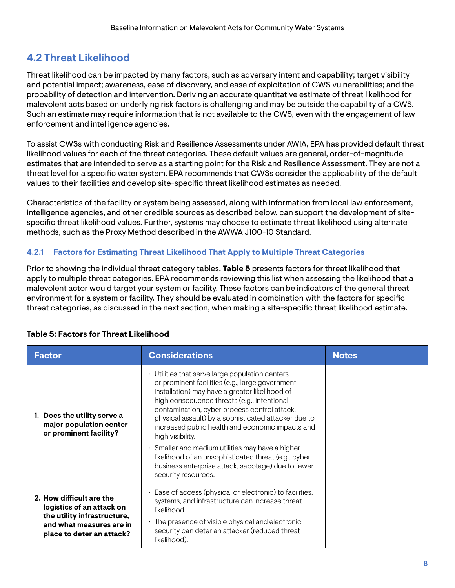# <span id="page-12-0"></span>**4.2 Threat Likelihood**

Threat likelihood can be impacted by many factors, such as adversary intent and capability; target visibility and potential impact; awareness, ease of discovery, and ease of exploitation of CWS vulnerabilities; and the probability of detection and intervention. Deriving an accurate quantitative estimate of threat likelihood for malevolent acts based on underlying risk factors is challenging and may be outside the capability of a CWS. Such an estimate may require information that is not available to the CWS, even with the engagement of law enforcement and intelligence agencies.

To assist CWSs with conducting Risk and Resilience Assessments under AWIA, EPA has provided default threat likelihood values for each of the threat categories. These default values are general, order-of-magnitude estimates that are intended to serve as a starting point for the Risk and Resilience Assessment. They are not a threat level for a specifc water system. EPA recommends that CWSs consider the applicability of the default values to their facilities and develop site-specifc threat likelihood estimates as needed.

Characteristics of the facility or system being assessed, along with information from local law enforcement, intelligence agencies, and other credible sources as described below, can support the development of sitespecifc threat likelihood values. Further, systems may choose to estimate threat likelihood using alternate methods, such as the Proxy Method described in the AWWA J100-10 Standard.

### **4.2.1 Factors for Estimating Threat Likelihood That Apply to Multiple Threat Categories**

Prior to showing the individual threat category tables, **Table 5** presents factors for threat likelihood that apply to multiple threat categories. EPA recommends reviewing this list when assessing the likelihood that a malevolent actor would target your system or facility. These factors can be indicators of the general threat environment for a system or facility. They should be evaluated in combination with the factors for specifc threat categories, as discussed in the next section, when making a site-specifc threat likelihood estimate.

| <b>Factor</b>                                                                                                                                 | <b>Considerations</b>                                                                                                                                                                                                                                                                                                                                                                                                                                                                                                                                       | <b>Notes</b> |
|-----------------------------------------------------------------------------------------------------------------------------------------------|-------------------------------------------------------------------------------------------------------------------------------------------------------------------------------------------------------------------------------------------------------------------------------------------------------------------------------------------------------------------------------------------------------------------------------------------------------------------------------------------------------------------------------------------------------------|--------------|
| 1. Does the utility serve a<br>major population center<br>or prominent facility?                                                              | • Utilities that serve large population centers<br>or prominent facilities (e.g., large government<br>installation) may have a greater likelihood of<br>high consequence threats (e.g., intentional<br>contamination, cyber process control attack,<br>physical assault) by a sophisticated attacker due to<br>increased public health and economic impacts and<br>high visibility.<br>$\cdot$ Smaller and medium utilities may have a higher<br>likelihood of an unsophisticated threat (e.g., cyber<br>business enterprise attack, sabotage) due to fewer |              |
|                                                                                                                                               | security resources.                                                                                                                                                                                                                                                                                                                                                                                                                                                                                                                                         |              |
| 2. How difficult are the<br>logistics of an attack on<br>the utility infrastructure,<br>and what measures are in<br>place to deter an attack? | Ease of access (physical or electronic) to facilities,<br>systems, and infrastructure can increase threat<br>likelihood.<br>$\cdot$ The presence of visible physical and electronic<br>security can deter an attacker (reduced threat<br>likelihood).                                                                                                                                                                                                                                                                                                       |              |

### **Table 5: Factors for Threat Likelihood**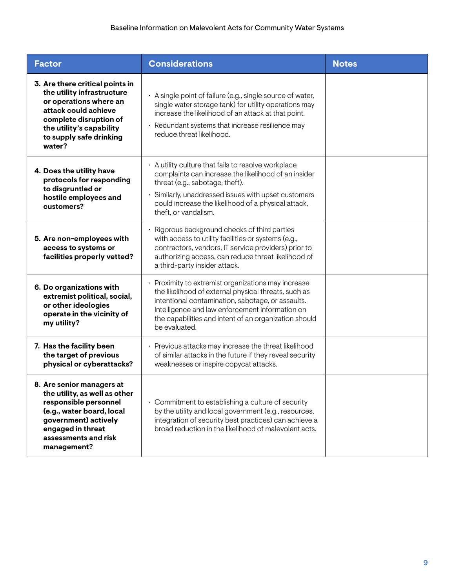| <b>Factor</b>                                                                                                                                                                                              | <b>Considerations</b>                                                                                                                                                                                                                                                                       | <b>Notes</b> |
|------------------------------------------------------------------------------------------------------------------------------------------------------------------------------------------------------------|---------------------------------------------------------------------------------------------------------------------------------------------------------------------------------------------------------------------------------------------------------------------------------------------|--------------|
| 3. Are there critical points in<br>the utility infrastructure<br>or operations where an<br>attack could achieve<br>complete disruption of<br>the utility's capability<br>to supply safe drinking<br>water? | · A single point of failure (e.g., single source of water,<br>single water storage tank) for utility operations may<br>increase the likelihood of an attack at that point.<br>Redundant systems that increase resilience may<br>reduce threat likelihood.                                   |              |
| 4. Does the utility have<br>protocols for responding<br>to disgruntled or<br>hostile employees and<br>customers?                                                                                           | · A utility culture that fails to resolve workplace<br>complaints can increase the likelihood of an insider<br>threat (e.g., sabotage, theft).<br>Similarly, unaddressed issues with upset customers<br>could increase the likelihood of a physical attack,<br>theft, or vandalism.         |              |
| 5. Are non-employees with<br>access to systems or<br>facilities properly vetted?                                                                                                                           | Rigorous background checks of third parties<br>with access to utility facilities or systems (e.g.,<br>contractors, vendors, IT service providers) prior to<br>authorizing access, can reduce threat likelihood of<br>a third-party insider attack.                                          |              |
| 6. Do organizations with<br>extremist political, social,<br>or other ideologies<br>operate in the vicinity of<br>my utility?                                                                               | Proximity to extremist organizations may increase<br>the likelihood of external physical threats, such as<br>intentional contamination, sabotage, or assaults.<br>Intelligence and law enforcement information on<br>the capabilities and intent of an organization should<br>be evaluated. |              |
| 7. Has the facility been<br>the target of previous<br>physical or cyberattacks?                                                                                                                            | · Previous attacks may increase the threat likelihood<br>of similar attacks in the future if they reveal security<br>weaknesses or inspire copycat attacks.                                                                                                                                 |              |
| 8. Are senior managers at<br>the utility, as well as other<br>responsible personnel<br>(e.g., water board, local<br>government) actively<br>engaged in threat<br>assessments and risk<br>management?       | $\cdot$ Commitment to establishing a culture of security<br>by the utility and local government (e.g., resources,<br>integration of security best practices) can achieve a<br>broad reduction in the likelihood of malevolent acts.                                                         |              |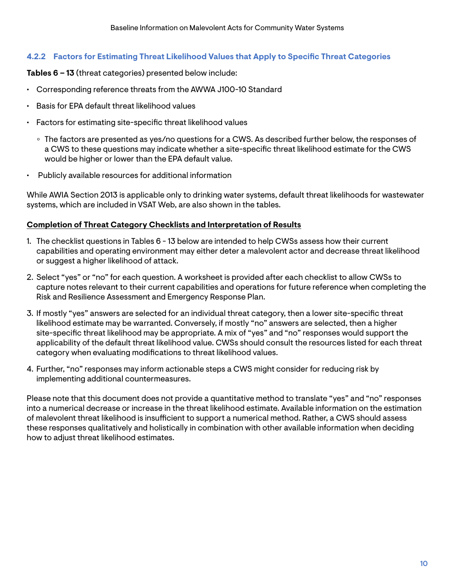### <span id="page-14-0"></span>**4.2.2 Factors for Estimating Threat Likelihood Values that Apply to Specifc Threat Categories**

#### **Tables 6 – 13** (threat categories) presented below include:

- Corresponding reference threats from the AWWA J100-10 Standard
- Basis for EPA default threat likelihood values
- Factors for estimating site-specific threat likelihood values
	- o The factors are presented as yes/no questions for a CWS. As described further below, the responses of a CWS to these questions may indicate whether a site-specifc threat likelihood estimate for the CWS would be higher or lower than the EPA default value.
- Publicly available resources for additional information

While AWIA Section 2013 is applicable only to drinking water systems, default threat likelihoods for wastewater systems, which are included in VSAT Web, are also shown in the tables.

#### **Completion of Threat Category Checklists and Interpretation of Results**

- 1. The checklist questions in Tables 6 13 below are intended to help CWSs assess how their current capabilities and operating environment may either deter a malevolent actor and decrease threat likelihood or suggest a higher likelihood of attack.
- 2. Select "yes" or "no" for each question. A worksheet is provided after each checklist to allow CWSs to capture notes relevant to their current capabilities and operations for future reference when completing the Risk and Resilience Assessment and Emergency Response Plan.
- 3. If mostly "yes" answers are selected for an individual threat category, then a lower site-specifc threat likelihood estimate may be warranted. Conversely, if mostly "no" answers are selected, then a higher site-specifc threat likelihood may be appropriate. A mix of "yes" and "no" responses would support the applicability of the default threat likelihood value. CWSs should consult the resources listed for each threat category when evaluating modifcations to threat likelihood values.
- 4. Further, "no" responses may inform actionable steps a CWS might consider for reducing risk by implementing additional countermeasures.

Please note that this document does not provide a quantitative method to translate "yes" and "no" responses into a numerical decrease or increase in the threat likelihood estimate. Available information on the estimation of malevolent threat likelihood is insufficient to support a numerical method. Rather, a CWS should assess these responses qualitatively and holistically in combination with other available information when deciding how to adjust threat likelihood estimates.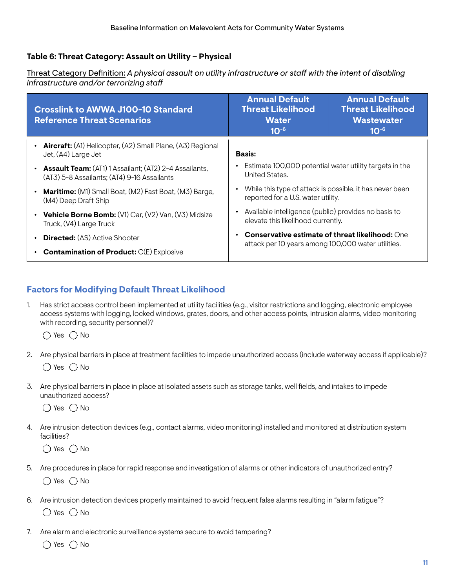### <span id="page-15-0"></span>**Table 6: Threat Category: Assault on Utility – Physical**

Threat Category Defnition: *A physical assault on utility infrastructure or staf with the intent of disabling infrastructure and/or terrorizing staf* 

| <b>Crosslink to AWWA J100-10 Standard</b><br><b>Reference Threat Scenarios</b>                               | <b>Annual Default</b><br><b>Threat Likelihood</b><br><b>Water</b><br>$10^{-6}$                                            | <b>Annual Default</b><br><b>Threat Likelihood</b><br><b>Wastewater</b><br>$10^{-6}$ |
|--------------------------------------------------------------------------------------------------------------|---------------------------------------------------------------------------------------------------------------------------|-------------------------------------------------------------------------------------|
| <b>Aircraft:</b> (A1) Helicopter, (A2) Small Plane, (A3) Regional<br>Jet, (A4) Large Jet                     | <b>Basis:</b>                                                                                                             |                                                                                     |
| <b>Assault Team:</b> (AT1) 1 Assailant; (AT2) 2-4 Assailants,<br>(AT3) 5-8 Assailants; (AT4) 9-16 Assailants | Estimate 100,000 potential water utility targets in the<br>United States.                                                 |                                                                                     |
| <b>Maritime:</b> (M1) Small Boat, (M2) Fast Boat, (M3) Barge,<br>(M4) Deep Draft Ship                        | While this type of attack is possible, it has never been<br>$\bullet$<br>reported for a U.S. water utility.               |                                                                                     |
| Vehicle Borne Bomb: (V1) Car, (V2) Van, (V3) Midsize<br>Truck, (V4) Large Truck                              | Available intelligence (public) provides no basis to<br>$\bullet$<br>elevate this likelihood currently.                   |                                                                                     |
| <b>Directed:</b> (AS) Active Shooter                                                                         | <b>Conservative estimate of threat likelihood:</b> One<br>$\bullet$<br>attack per 10 years among 100,000 water utilities. |                                                                                     |
| <b>Contamination of Product:</b> C(E) Explosive                                                              |                                                                                                                           |                                                                                     |

### **Factors for Modifying Default Threat Likelihood**

1. Has strict access control been implemented at utility facilities (e.g., visitor restrictions and logging, electronic employee access systems with logging, locked windows, grates, doors, and other access points, intrusion alarms, video monitoring with recording, security personnel)?

 $\bigcirc$  Yes  $\bigcirc$  No

- 2. Are physical barriers in place at treatment facilities to impede unauthorized access (include waterway access if applicable)?  $\bigcirc$  Yes  $\bigcirc$  No
- 3. Are physical barriers in place in place at isolated assets such as storage tanks, well felds, and intakes to impede unauthorized access?

 $\bigcirc$  Yes  $\bigcirc$  No

4. Are intrusion detection devices (e.g., contact alarms, video monitoring) installed and monitored at distribution system facilities?

 $\bigcirc$  Yes  $\bigcirc$  No

5. Are procedures in place for rapid response and investigation of alarms or other indicators of unauthorized entry?

 $\bigcirc$  Yes  $\bigcirc$  No

- 6. Are intrusion detection devices properly maintained to avoid frequent false alarms resulting in "alarm fatigue"?  $\bigcirc$  Yes  $\bigcirc$  No
- 7. Are alarm and electronic surveillance systems secure to avoid tampering?

 $\bigcirc$  Yes  $\bigcirc$  No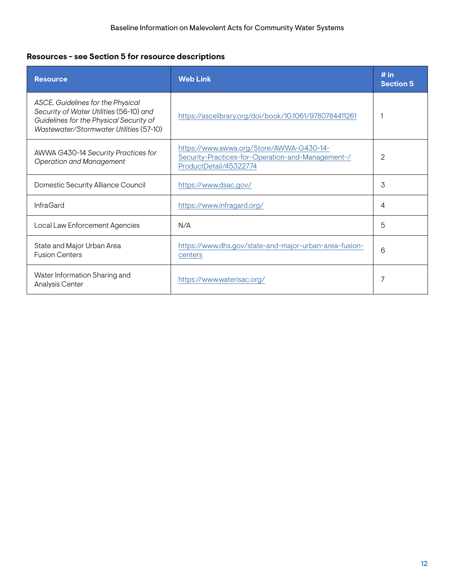# **Resources - see Section 5 for resource descriptions**

| <b>Resource</b>                                                                                                                                                    | <b>Web Link</b>                                                                                                         | # in<br><b>Section 5</b> |
|--------------------------------------------------------------------------------------------------------------------------------------------------------------------|-------------------------------------------------------------------------------------------------------------------------|--------------------------|
| ASCE, Guidelines for the Physical<br>Security of Water Utilities (56-10) and<br>Guidelines for the Physical Security of<br>Wastewater/Stormwater Utilities (57-10) | https://ascelibrary.org/doi/book/10.1061/9780784411261                                                                  |                          |
| AWWA G430-14 Security Practices for<br><b>Operation and Management</b>                                                                                             | https://www.awwa.org/Store/AWWA-G430-14-<br>Security-Practices-for-Operation-and-Management-/<br>ProductDetail/45322774 | 2                        |
| Domestic Security Alliance Council                                                                                                                                 | https://www.dsac.gov/                                                                                                   | 3                        |
| <b>InfraGard</b>                                                                                                                                                   | https://www.infragard.org/                                                                                              | 4                        |
| Local Law Enforcement Agencies                                                                                                                                     | N/A                                                                                                                     | 5                        |
| State and Major Urban Area<br><b>Fusion Centers</b>                                                                                                                | https://www.dhs.gov/state-and-major-urban-area-fusion-<br>centers                                                       | 6                        |
| Water Information Sharing and<br>Analysis Center                                                                                                                   | https://www.waterisac.org/                                                                                              | 7                        |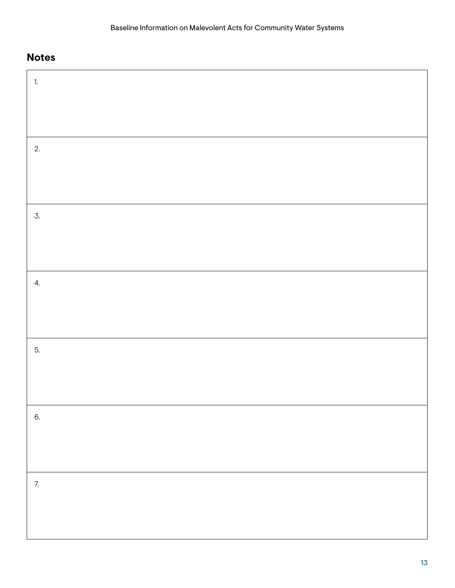| $\overline{1}$ . |  |
|------------------|--|
|                  |  |
|                  |  |
| 2.               |  |
|                  |  |
|                  |  |
| 3.               |  |
|                  |  |
|                  |  |
| 4.               |  |
|                  |  |
|                  |  |
| 5.               |  |
|                  |  |
|                  |  |
| 6.               |  |
|                  |  |
|                  |  |
| 7.               |  |
|                  |  |
|                  |  |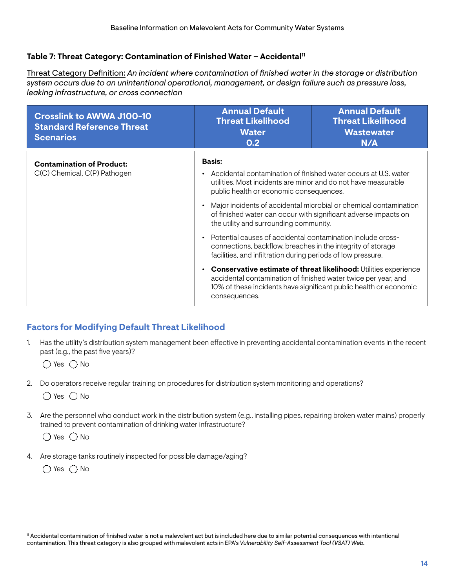### <span id="page-18-0"></span>Table 7: Threat Category: Contamination of Finished Water - Accidental<sup>11</sup>

Threat Category Defnition: *An incident where contamination of fnished water in the storage or distribution system occurs due to an unintentional operational, management, or design failure such as pressure loss, leaking infrastructure, or cross connection* 

| <b>Crosslink to AWWA J100-10</b><br><b>Standard Reference Threat</b><br><b>Scenarios</b> | <b>Annual Default</b><br><b>Threat Likelihood</b><br><b>Water</b><br>0.2                                                                                                                                                                                                                                                                                                                                                                                                                                                                                                                    | <b>Annual Default</b><br><b>Threat Likelihood</b><br><b>Wastewater</b><br>N/A                                                                                                                                     |
|------------------------------------------------------------------------------------------|---------------------------------------------------------------------------------------------------------------------------------------------------------------------------------------------------------------------------------------------------------------------------------------------------------------------------------------------------------------------------------------------------------------------------------------------------------------------------------------------------------------------------------------------------------------------------------------------|-------------------------------------------------------------------------------------------------------------------------------------------------------------------------------------------------------------------|
| <b>Contamination of Product:</b><br>C(C) Chemical, C(P) Pathogen                         | <b>Basis:</b><br>Accidental contamination of finished water occurs at U.S. water<br>utilities. Most incidents are minor and do not have measurable<br>public health or economic consequences.<br>of finished water can occur with significant adverse impacts on<br>the utility and surrounding community.<br>Potential causes of accidental contamination include cross-<br>connections, backflow, breaches in the integrity of storage<br>facilities, and infiltration during periods of low pressure.<br>accidental contamination of finished water twice per year, and<br>consequences. | Major incidents of accidental microbial or chemical contamination<br><b>Conservative estimate of threat likelihood:</b> Utilities experience<br>10% of these incidents have significant public health or economic |

# **Factors for Modifying Default Threat Likelihood**

1. Has the utility's distribution system management been efective in preventing accidental contamination events in the recent past (e.g., the past five years)?

 $\bigcap$  Yes  $\bigcap$  No

2. Do operators receive regular training on procedures for distribution system monitoring and operations?

 $\bigcirc$  Yes  $\bigcirc$  No

3. Are the personnel who conduct work in the distribution system (e.g., installing pipes, repairing broken water mains) properly trained to prevent contamination of drinking water infrastructure?

 $\bigcirc$  Yes  $\bigcirc$  No

4. Are storage tanks routinely inspected for possible damage/aging?

 $\bigcirc$  Yes  $\bigcirc$  No

<sup>11</sup> Accidental contamination of fnished water is not a malevolent act but is included here due to similar potential consequences with intentional contamination. This threat category is also grouped with malevolent acts in EPA's *Vulnerability Self-Assessment Tool (VSAT) Web.*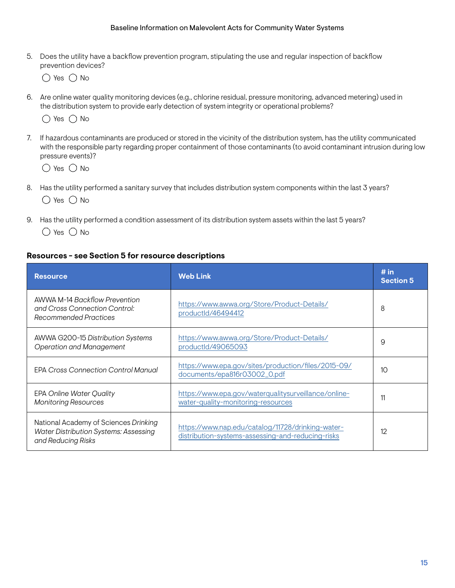5. Does the utility have a backfow prevention program, stipulating the use and regular inspection of backfow prevention devices?

 $\bigcirc$  Yes  $\bigcirc$  No

6. Are online water quality monitoring devices (e.g., chlorine residual, pressure monitoring, advanced metering) used in the distribution system to provide early detection of system integrity or operational problems?



7. If hazardous contaminants are produced or stored in the vicinity of the distribution system, has the utility communicated with the responsible party regarding proper containment of those contaminants (to avoid contaminant intrusion during low pressure events)?

 $\bigcirc$  Yes  $\bigcirc$  No

- 8. Has the utility performed a sanitary survey that includes distribution system components within the last 3 years?  $\bigcirc$  Yes  $\bigcirc$  No
- 9. Has the utility performed a condition assessment of its distribution system assets within the last 5 years?

 $\bigcirc$  Yes  $\bigcirc$  No

#### **Resources - see Section 5 for resource descriptions**

| <b>Resource</b>                                                                                             | <b>Web Link</b>                                                                                        | # in<br><b>Section 5</b> |
|-------------------------------------------------------------------------------------------------------------|--------------------------------------------------------------------------------------------------------|--------------------------|
| <b>AWWA M-14 Backflow Prevention</b><br>and Cross Connection Control:<br>Recommended Practices              | https://www.awwa.org/Store/Product-Details/<br>productId/46494412                                      | 8                        |
| AWWA G200-15 Distribution Systems<br><b>Operation and Management</b>                                        | https://www.awwa.org/Store/Product-Details/<br>productId/49065093                                      | 9                        |
| <b>FPA Cross Connection Control Manual</b>                                                                  | https://www.epa.gov/sites/production/files/2015-09/<br>documents/epa816r03002_0.pdf                    | 10                       |
| <b>EPA Online Water Quality</b><br><b>Monitoring Resources</b>                                              | https://www.epa.gov/waterqualitysurveillance/online-<br>water-quality-monitoring-resources             | 11                       |
| National Academy of Sciences Drinking<br><b>Water Distribution Systems: Assessing</b><br>and Reducing Risks | https://www.nap.edu/catalog/11728/drinking-water-<br>distribution-systems-assessing-and-reducing-risks | 12                       |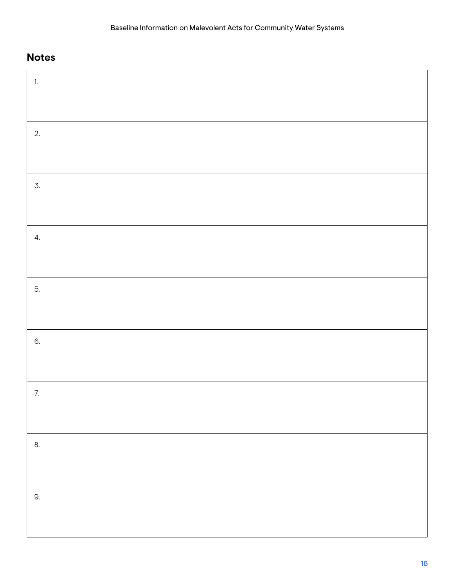| $1.$ |  |
|------|--|
|      |  |
| 2.   |  |
|      |  |
| 3.   |  |
|      |  |
| 4.   |  |
|      |  |
| 5.   |  |
|      |  |
| 6.   |  |
|      |  |
| 7.   |  |
|      |  |
| 8.   |  |
|      |  |
| 9.   |  |
|      |  |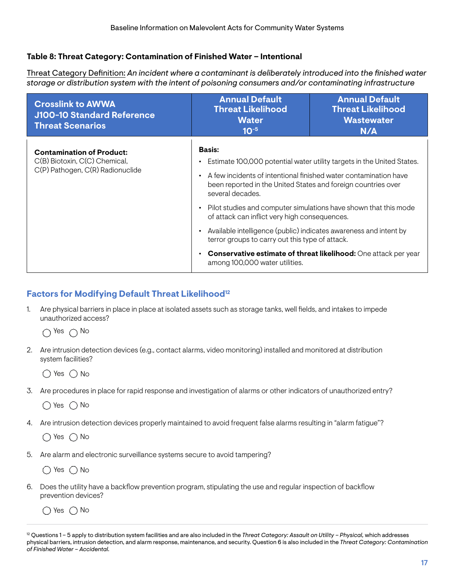### <span id="page-21-0"></span>**Table 8: Threat Category: Contamination of Finished Water – Intentional**

Threat Category Defnition: *An incident where a contaminant is deliberately introduced into the fnished water storage or distribution system with the intent of poisoning consumers and/or contaminating infrastructure* 

| <b>Crosslink to AWWA</b><br>J100-10 Standard Reference<br><b>Threat Scenarios</b>                     | <b>Annual Default</b><br><b>Threat Likelihood</b><br><b>Water</b><br>$10^{-5}$                                                                                                                                                                         | <b>Annual Default</b><br><b>Threat Likelihood</b><br><b>Wastewater</b><br>N/A                                                              |  |
|-------------------------------------------------------------------------------------------------------|--------------------------------------------------------------------------------------------------------------------------------------------------------------------------------------------------------------------------------------------------------|--------------------------------------------------------------------------------------------------------------------------------------------|--|
| <b>Contamination of Product:</b><br>C(B) Biotoxin, C(C) Chemical,<br>C(P) Pathogen, C(R) Radionuclide | <b>Basis:</b><br>٠<br>A few incidents of intentional finished water contamination have<br>$\bullet$<br>been reported in the United States and foreign countries over<br>several decades.<br>$\bullet$<br>of attack can inflict very high consequences. | Estimate 100,000 potential water utility targets in the United States.<br>Pilot studies and computer simulations have shown that this mode |  |
|                                                                                                       | Available intelligence (public) indicates awareness and intent by<br>$\bullet$<br>terror groups to carry out this type of attack.<br>$\bullet$<br>among 100,000 water utilities.                                                                       | Conservative estimate of threat likelihood: One attack per year                                                                            |  |

### **Factors for Modifying Default Threat Likelihood<sup>12</sup>**

1. Are physical barriers in place in place at isolated assets such as storage tanks, well felds, and intakes to impede unauthorized access?

 $\bigcap$  Yes  $\bigcap$  No

2. Are intrusion detection devices (e.g., contact alarms, video monitoring) installed and monitored at distribution system facilities?

 $\bigcirc$  Yes  $\bigcirc$  No

3. Are procedures in place for rapid response and investigation of alarms or other indicators of unauthorized entry?

 $\bigcap$  Yes  $\bigcap$  No

4. Are intrusion detection devices properly maintained to avoid frequent false alarms resulting in "alarm fatigue"?

 $\bigcap$  Yes  $\bigcap$  No

5. Are alarm and electronic surveillance systems secure to avoid tampering?

 $\bigcirc$  Yes  $\bigcirc$  No

6. Does the utility have a backfow prevention program, stipulating the use and regular inspection of backfow prevention devices?

 $\bigcirc$  Yes  $\bigcirc$  No

<sup>&</sup>lt;sup>12</sup> Questions 1 – 5 apply to distribution system facilities and are also included in the *Threat Category: Assault on Utility – Physical*, which addresses physical barriers, intrusion detection, and alarm response, maintenance, and security. Question 6 is also included in the *Threat Category: Contamination of Finished Water – Accidental.*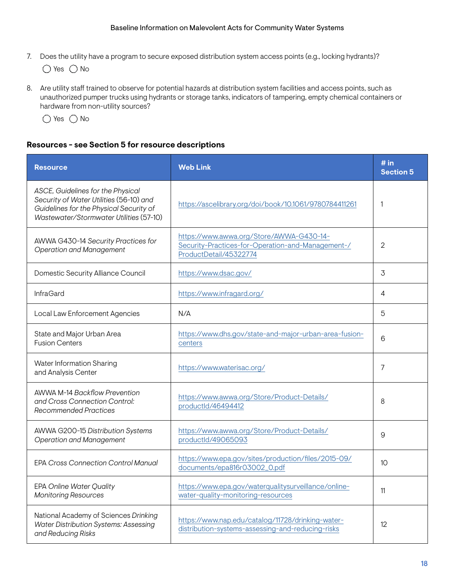7. Does the utility have a program to secure exposed distribution system access points (e.g., locking hydrants)?

 $\bigcirc$  Yes  $\bigcirc$  No

8. Are utility staff trained to observe for potential hazards at distribution system facilities and access points, such as unauthorized pumper trucks using hydrants or storage tanks, indicators of tampering, empty chemical containers or hardware from non-utility sources?

 $\bigcirc$  Yes  $\bigcirc$  No

#### **Resources - see Section 5 for resource descriptions**

| <b>Resource</b>                                                                                                                                                    | <b>Web Link</b>                                                                                                         | # in<br><b>Section 5</b> |
|--------------------------------------------------------------------------------------------------------------------------------------------------------------------|-------------------------------------------------------------------------------------------------------------------------|--------------------------|
| ASCE, Guidelines for the Physical<br>Security of Water Utilities (56-10) and<br>Guidelines for the Physical Security of<br>Wastewater/Stormwater Utilities (57-10) | https://ascelibrary.org/doi/book/10.1061/9780784411261                                                                  | $\mathbf{1}$             |
| AWWA G430-14 Security Practices for<br><b>Operation and Management</b>                                                                                             | https://www.awwa.org/Store/AWWA-G430-14-<br>Security-Practices-for-Operation-and-Management-/<br>ProductDetail/45322774 | 2                        |
| Domestic Security Alliance Council                                                                                                                                 | https://www.dsac.gov/                                                                                                   | $\mathcal{I}$            |
| <b>InfraGard</b>                                                                                                                                                   | https://www.infragard.org/                                                                                              | 4                        |
| Local Law Enforcement Agencies                                                                                                                                     | N/A                                                                                                                     | 5                        |
| State and Major Urban Area<br><b>Fusion Centers</b>                                                                                                                | https://www.dhs.gov/state-and-major-urban-area-fusion-<br>centers                                                       | 6                        |
| Water Information Sharing<br>and Analysis Center                                                                                                                   | https://www.waterisac.org/                                                                                              | 7                        |
| <b>AWWA M-14 Backflow Prevention</b><br>and Cross Connection Control:<br>Recommended Practices                                                                     | https://www.awwa.org/Store/Product-Details/<br>productId/46494412                                                       | 8                        |
| AWWA G200-15 Distribution Systems<br><b>Operation and Management</b>                                                                                               | https://www.awwa.org/Store/Product-Details/<br>productId/49065093                                                       | 9                        |
| <b>EPA Cross Connection Control Manual</b>                                                                                                                         | https://www.epa.gov/sites/production/files/2015-09/<br>documents/epa816r03002_0.pdf                                     | 10                       |
| <b>EPA Online Water Quality</b><br><b>Monitoring Resources</b>                                                                                                     | https://www.epa.gov/waterqualitysurveillance/online-<br>water-quality-monitoring-resources                              | 11                       |
| National Academy of Sciences Drinking<br><b>Water Distribution Systems: Assessing</b><br>and Reducing Risks                                                        | https://www.nap.edu/catalog/11728/drinking-water-<br>distribution-systems-assessing-and-reducing-risks                  | 12                       |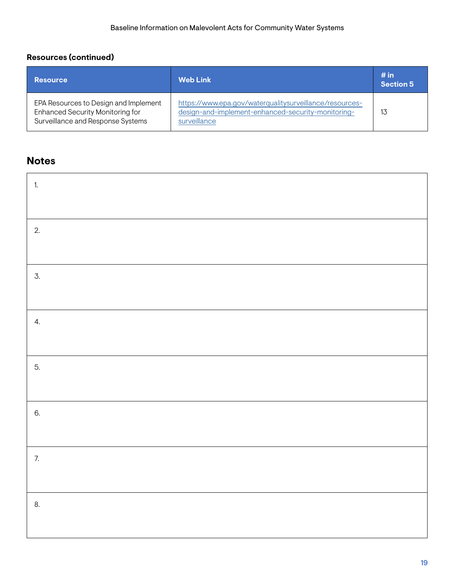# **Resources (continued)**

| <b>Resource</b>                                                                                                | <b>Web Link</b>                                                                                                               | # in<br><b>Section 5</b> |
|----------------------------------------------------------------------------------------------------------------|-------------------------------------------------------------------------------------------------------------------------------|--------------------------|
| EPA Resources to Design and Implement<br>Enhanced Security Monitoring for<br>Surveillance and Response Systems | https://www.epa.gov/waterqualitysurveillance/resources-<br>design-and-implement-enhanced-security-monitoring-<br>surveillance | 13                       |

| $\ddot{a}$       |  |
|------------------|--|
|                  |  |
| 2.               |  |
|                  |  |
| $\overline{3}$ . |  |
|                  |  |
| 4.               |  |
|                  |  |
| 5.               |  |
|                  |  |
| 6.               |  |
|                  |  |
| 7.               |  |
|                  |  |
| 8.               |  |
|                  |  |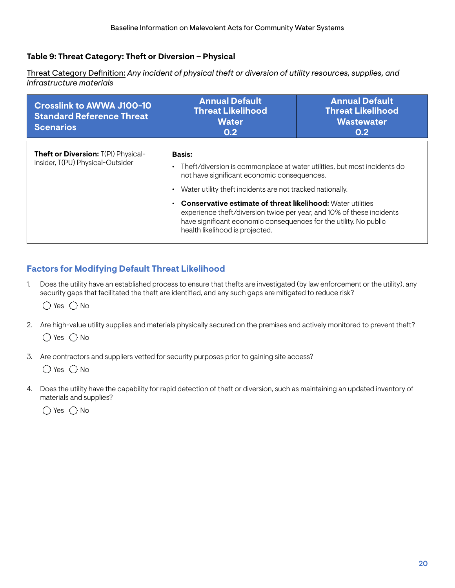### <span id="page-24-0"></span>**Table 9: Threat Category: Theft or Diversion – Physical**

Threat Category Defnition: *Any incident of physical theft or diversion of utility resources, supplies, and infrastructure materials* 

| <b>Crosslink to AWWA J100-10</b><br><b>Standard Reference Threat</b><br><b>Scenarios</b> | <b>Annual Default</b><br><b>Threat Likelihood</b><br><b>Water</b><br>0.2                                                                                                                                                                            | <b>Annual Default</b><br><b>Threat Likelihood</b><br><b>Wastewater</b><br>0.2 |
|------------------------------------------------------------------------------------------|-----------------------------------------------------------------------------------------------------------------------------------------------------------------------------------------------------------------------------------------------------|-------------------------------------------------------------------------------|
| Theft or Diversion: T(PI) Physical-                                                      | <b>Basis:</b>                                                                                                                                                                                                                                       |                                                                               |
| Insider, T(PU) Physical-Outsider                                                         | Theft/diversion is commonplace at water utilities, but most incidents do<br>$\bullet$<br>not have significant economic consequences.                                                                                                                |                                                                               |
|                                                                                          | Water utility theft incidents are not tracked nationally.<br>$\bullet$                                                                                                                                                                              |                                                                               |
|                                                                                          | <b>Conservative estimate of threat likelihood:</b> Water utilities<br>experience theft/diversion twice per year, and 10% of these incidents<br>have significant economic consequences for the utility. No public<br>health likelihood is projected. |                                                                               |

# **Factors for Modifying Default Threat Likelihood**

1. Does the utility have an established process to ensure that thefts are investigated (by law enforcement or the utility), any security gaps that facilitated the theft are identifed, and any such gaps are mitigated to reduce risk?

 $\bigcap$  Yes  $\bigcap$  No

- 2. Are high-value utility supplies and materials physically secured on the premises and actively monitored to prevent theft?  $\bigcirc$  Yes  $\bigcirc$  No
- 3. Are contractors and suppliers vetted for security purposes prior to gaining site access?

 $\bigcirc$  Yes  $\bigcirc$  No

4. Does the utility have the capability for rapid detection of theft or diversion, such as maintaining an updated inventory of materials and supplies?

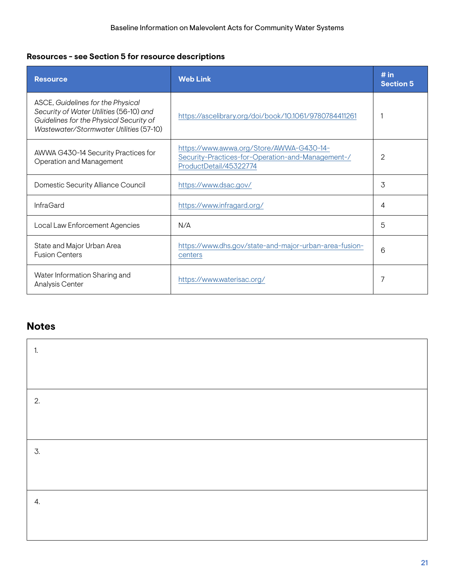# **Resources - see Section 5 for resource descriptions**

| <b>Resource</b>                                                                                                                                                    | <b>Web Link</b>                                                                                                         | # in<br><b>Section 5</b> |
|--------------------------------------------------------------------------------------------------------------------------------------------------------------------|-------------------------------------------------------------------------------------------------------------------------|--------------------------|
| ASCE, Guidelines for the Physical<br>Security of Water Utilities (56-10) and<br>Guidelines for the Physical Security of<br>Wastewater/Stormwater Utilities (57-10) | https://ascelibrary.org/doi/book/10.1061/9780784411261                                                                  |                          |
| AWWA G430-14 Security Practices for<br>Operation and Management                                                                                                    | https://www.awwa.org/Store/AWWA-G430-14-<br>Security-Practices-for-Operation-and-Management-/<br>ProductDetail/45322774 | 2                        |
| Domestic Security Alliance Council                                                                                                                                 | https://www.dsac.gov/                                                                                                   | 3                        |
| <b>InfraGard</b>                                                                                                                                                   | https://www.infragard.org/                                                                                              | 4                        |
| Local Law Enforcement Agencies                                                                                                                                     | N/A                                                                                                                     | 5                        |
| State and Major Urban Area<br><b>Fusion Centers</b>                                                                                                                | https://www.dhs.gov/state-and-major-urban-area-fusion-<br>centers                                                       | 6                        |
| Water Information Sharing and<br>Analysis Center                                                                                                                   | https://www.waterisac.org/                                                                                              | 7                        |

| 1. |  |
|----|--|
|    |  |
| 2. |  |
|    |  |
| 3. |  |
|    |  |
| 4. |  |
|    |  |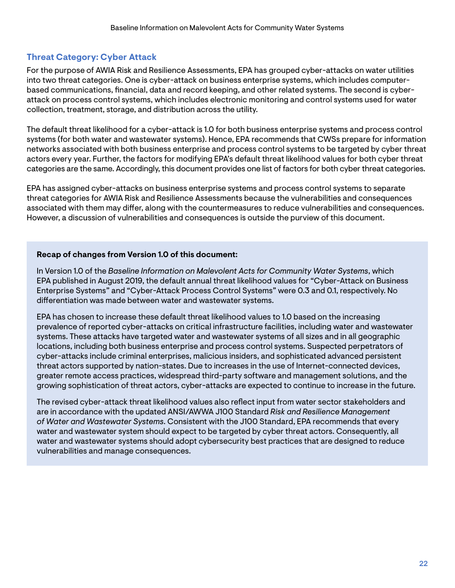# **Threat Category: Cyber Attack**

For the purpose of AWIA Risk and Resilience Assessments, EPA has grouped cyber-attacks on water utilities into two threat categories. One is cyber-attack on business enterprise systems, which includes computerbased communications, fnancial, data and record keeping, and other related systems. The second is cyberattack on process control systems, which includes electronic monitoring and control systems used for water collection, treatment, storage, and distribution across the utility.

The default threat likelihood for a cyber-attack is 1.0 for both business enterprise systems and process control systems (for both water and wastewater systems). Hence, EPA recommends that CWSs prepare for information networks associated with both business enterprise and process control systems to be targeted by cyber threat actors every year. Further, the factors for modifying EPA's default threat likelihood values for both cyber threat categories are the same. Accordingly, this document provides one list of factors for both cyber threat categories.

EPA has assigned cyber-attacks on business enterprise systems and process control systems to separate threat categories for AWIA Risk and Resilience Assessments because the vulnerabilities and consequences associated with them may difer, along with the countermeasures to reduce vulnerabilities and consequences. However, a discussion of vulnerabilities and consequences is outside the purview of this document.

#### **Recap of changes from Version 1.0 of this document:**

In Version 1.0 of the *Baseline Information on Malevolent Acts for Community Water Systems*, which EPA published in August 2019, the default annual threat likelihood values for "Cyber-Attack on Business Enterprise Systems" and "Cyber-Attack Process Control Systems" were 0.3 and 0.1, respectively. No diferentiation was made between water and wastewater systems.

EPA has chosen to increase these default threat likelihood values to 1.0 based on the increasing prevalence of reported cyber-attacks on critical infrastructure facilities, including water and wastewater systems. These attacks have targeted water and wastewater systems of all sizes and in all geographic locations, including both business enterprise and process control systems. Suspected perpetrators of cyber-attacks include criminal enterprises, malicious insiders, and sophisticated advanced persistent threat actors supported by nation-states. Due to increases in the use of Internet-connected devices, greater remote access practices, widespread third-party software and management solutions, and the growing sophistication of threat actors, cyber-attacks are expected to continue to increase in the future.

The revised cyber-attack threat likelihood values also refect input from water sector stakeholders and are in accordance with the updated ANSI/AWWA J100 Standard *Risk and Resilience Management of Water and Wastewater Systems*. Consistent with the J100 Standard, EPA recommends that every water and wastewater system should expect to be targeted by cyber threat actors. Consequently, all water and wastewater systems should adopt cybersecurity best practices that are designed to reduce vulnerabilities and manage consequences.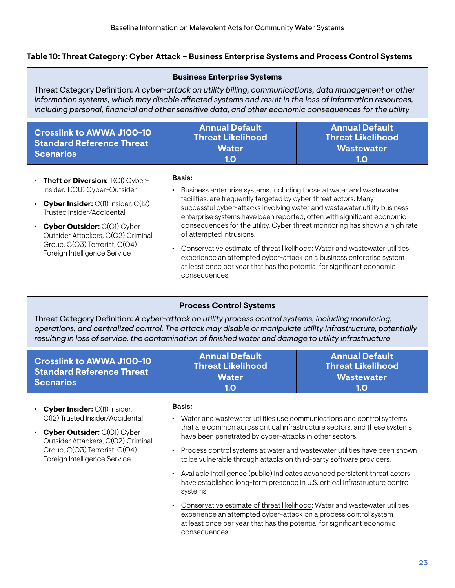### <span id="page-27-0"></span>**Table 10: Threat Category: Cyber Attack** – **Business Enterprise Systems and Process Control Systems**

| <b>Business Enterprise Systems</b>                                                                                                                                                                                                                                                                                             |                                                                                                                                                                                                                                                                                                                                                                                                                                                                                                                                                                                                                                                                                                |  |  |  |
|--------------------------------------------------------------------------------------------------------------------------------------------------------------------------------------------------------------------------------------------------------------------------------------------------------------------------------|------------------------------------------------------------------------------------------------------------------------------------------------------------------------------------------------------------------------------------------------------------------------------------------------------------------------------------------------------------------------------------------------------------------------------------------------------------------------------------------------------------------------------------------------------------------------------------------------------------------------------------------------------------------------------------------------|--|--|--|
| Threat Category Definition: A cyber-attack on utility billing, communications, data management or other<br>information systems, which may disable affected systems and result in the loss of information resources,<br>including personal, financial and other sensitive data, and other economic consequences for the utility |                                                                                                                                                                                                                                                                                                                                                                                                                                                                                                                                                                                                                                                                                                |  |  |  |
| <b>Crosslink to AWWA J100-10</b><br><b>Standard Reference Threat</b><br><b>Scenarios</b>                                                                                                                                                                                                                                       | <b>Annual Default</b><br><b>Annual Default</b><br><b>Threat Likelihood</b><br><b>Threat Likelihood</b><br><b>Water</b><br><b>Wastewater</b><br>1.0<br>1.0                                                                                                                                                                                                                                                                                                                                                                                                                                                                                                                                      |  |  |  |
| • Theft or Diversion: $T(Cl)$ Cyber-<br>Insider, T(CU) Cyber-Outsider<br>• Cyber Insider: $C(11)$ Insider, $C(12)$<br>Trusted Insider/Accidental<br>• Cyber Outsider: C(O1) Cyber<br>Outsider Attackers, C(O2) Criminal<br>Group, C(O3) Terrorist, C(O4)<br>Foreign Intelligence Service                                       | Basis:<br>Business enterprise systems, including those at water and wastewater<br>$\bullet$<br>facilities, are frequently targeted by cyber threat actors. Many<br>successful cyber-attacks involving water and wastewater utility business<br>enterprise systems have been reported, often with significant economic<br>consequences for the utility. Cyber threat monitoring has shown a high rate<br>of attempted intrusions.<br>Conservative estimate of threat likelihood: Water and wastewater utilities<br>$\bullet$<br>experience an attempted cyber-attack on a business enterprise system<br>at least once per year that has the potential for significant economic<br>consequences. |  |  |  |

#### **Process Control Systems**

Threat Category Defnition: *A cyber-attack on utility process control systems, including monitoring, operations, and centralized control. The attack may disable or manipulate utility infrastructure, potentially resulting in loss of service, the contamination of fnished water and damage to utility infrastructure* 

| <b>Crosslink to AWWA J100-10</b><br><b>Standard Reference Threat</b><br><b>Scenarios</b>                                                                                                                  | <b>Annual Default</b><br><b>Threat Likelihood</b><br><b>Water</b><br>1.0                                                                                                                                                                                                                                                                                                                                                                                                                                                                                                                                                                                                                 | <b>Annual Default</b><br><b>Threat Likelihood</b><br><b>Wastewater</b><br>1.0                                                                          |
|-----------------------------------------------------------------------------------------------------------------------------------------------------------------------------------------------------------|------------------------------------------------------------------------------------------------------------------------------------------------------------------------------------------------------------------------------------------------------------------------------------------------------------------------------------------------------------------------------------------------------------------------------------------------------------------------------------------------------------------------------------------------------------------------------------------------------------------------------------------------------------------------------------------|--------------------------------------------------------------------------------------------------------------------------------------------------------|
| • Cyber Insider: C(I1) Insider,<br>C(I2) Trusted Insider/Accidental<br>Cyber Outsider: C(O1) Cyber<br>Outsider Attackers, C(O2) Criminal<br>Group, C(O3) Terrorist, C(O4)<br>Foreign Intelligence Service | <b>Basis:</b><br>• Water and wastewater utilities use communications and control systems<br>have been penetrated by cyber-attacks in other sectors.<br>$\bullet$<br>to be vulnerable through attacks on third-party software providers.<br>Available intelligence (public) indicates advanced persistent threat actors<br>$\bullet$<br>have established long-term presence in U.S. critical infrastructure control<br>systems.<br>Conservative estimate of threat likelihood: Water and wastewater utilities<br>$\bullet$<br>experience an attempted cyber-attack on a process control system<br>at least once per year that has the potential for significant economic<br>consequences. | that are common across critical infrastructure sectors, and these systems<br>Process control systems at water and wastewater utilities have been shown |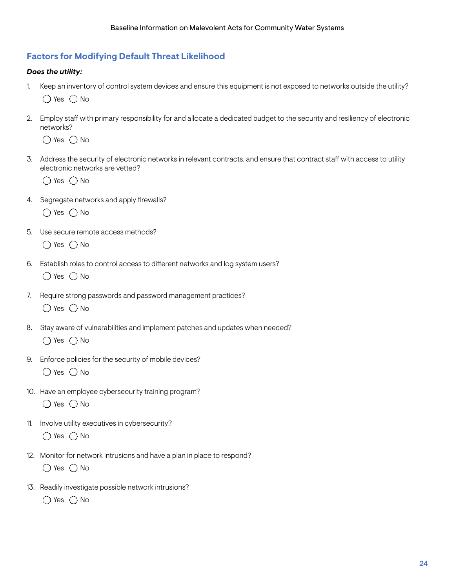### **Factors for Modifying Default Threat Likelihood**

#### *Does the utility:*

- 1. Keep an inventory of control system devices and ensure this equipment is not exposed to networks outside the utility?  $\bigcap$  Yes  $\bigcap$  No
- 2. Employ staff with primary responsibility for and allocate a dedicated budget to the security and resiliency of electronic networks?

 $\bigcirc$  Yes  $\bigcirc$  No

3. Address the security of electronic networks in relevant contracts, and ensure that contract staf with access to utility electronic networks are vetted?

 $\bigcap$  Yes  $\bigcap$  No

- 4. Segregate networks and apply frewalls?  $\bigcirc$  Yes  $\bigcirc$  No
- 5. Use secure remote access methods?

 $\bigcap$  Yes  $\bigcap$  No

- 6. Establish roles to control access to diferent networks and log system users?  $\bigcirc$  Yes  $\bigcirc$  No
- 7. Require strong passwords and password management practices?  $\bigcirc$  Yes  $\bigcirc$  No
- 8. Stay aware of vulnerabilities and implement patches and updates when needed?  $\bigcap$  Yes  $\bigcap$  No
- 9. Enforce policies for the security of mobile devices?  $\bigcirc$  Yes  $\bigcirc$  No
- 10. Have an employee cybersecurity training program?  $\bigcirc$  Yes  $\bigcirc$  No
- 11. Involve utility executives in cybersecurity?  $\bigcirc$  Yes  $\bigcirc$  No
- 12. Monitor for network intrusions and have a plan in place to respond?  $\bigcirc$  Yes  $\bigcirc$  No
- 13. Readily investigate possible network intrusions?  $\bigcirc$  Yes  $\bigcirc$  No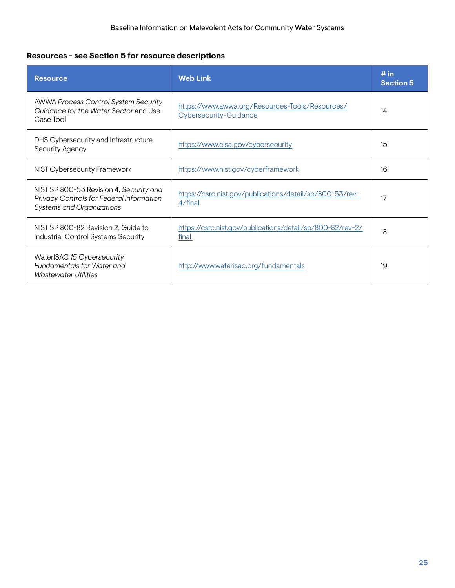# **Resources - see Section 5 for resource descriptions**

| <b>Resource</b>                                                                                                         | <b>Web Link</b>                                                           | # in<br><b>Section 5</b> |
|-------------------------------------------------------------------------------------------------------------------------|---------------------------------------------------------------------------|--------------------------|
| <b>AWWA Process Control System Security</b><br>Guidance for the Water Sector and Use-<br>Case Tool                      | https://www.awwa.org/Resources-Tools/Resources/<br>Cybersecurity-Guidance | 14                       |
| DHS Cybersecurity and Infrastructure<br>Security Agency                                                                 | https://www.cisa.gov/cybersecurity                                        | 15                       |
| NIST Cybersecurity Framework                                                                                            | https://www.nist.gov/cyberframework                                       | 16                       |
| NIST SP 800-53 Revision 4, Security and<br>Privacy Controls for Federal Information<br><b>Systems and Organizations</b> | https://csrc.nist.gov/publications/detail/sp/800-53/rev-<br>4/final       | 17                       |
| NIST SP 800-82 Revision 2. Guide to<br>Industrial Control Systems Security                                              | https://csrc.nist.gov/publications/detail/sp/800-82/rev-2/<br>final       | 18                       |
| WaterISAC 15 Cybersecurity<br><b>Fundamentals for Water and</b><br><b>Wastewater Utilities</b>                          | http://www.waterisac.org/fundamentals                                     | 19                       |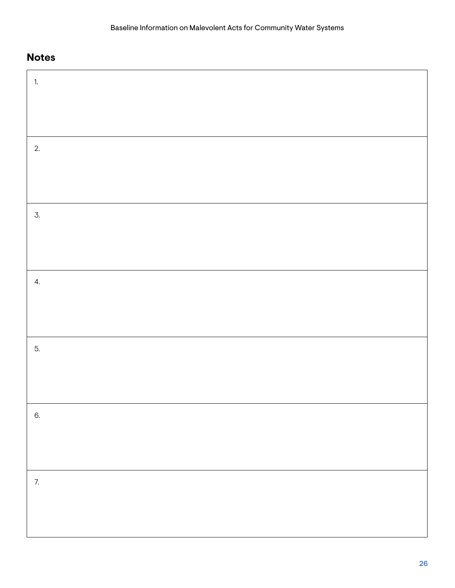| 1. |  |
|----|--|
|    |  |
|    |  |
| 2. |  |
|    |  |
|    |  |
| 3. |  |
|    |  |
|    |  |
| 4. |  |
|    |  |
|    |  |
| 5. |  |
|    |  |
|    |  |
| 6. |  |
|    |  |
|    |  |
| 7. |  |
|    |  |
|    |  |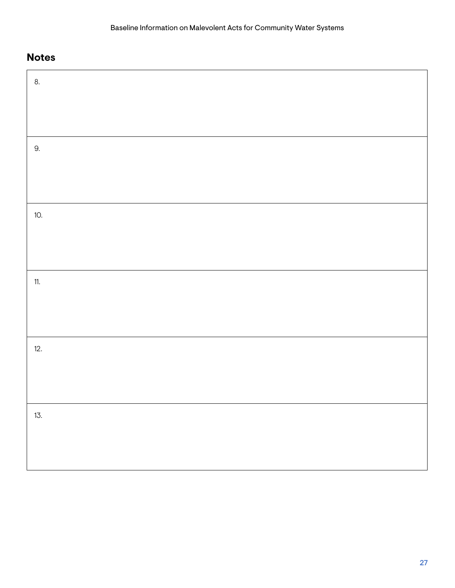| 8.  |  |
|-----|--|
|     |  |
|     |  |
| 9.  |  |
|     |  |
|     |  |
| 10. |  |
|     |  |
|     |  |
| 11. |  |
|     |  |
|     |  |
| 12. |  |
|     |  |
|     |  |
| 13. |  |
|     |  |
|     |  |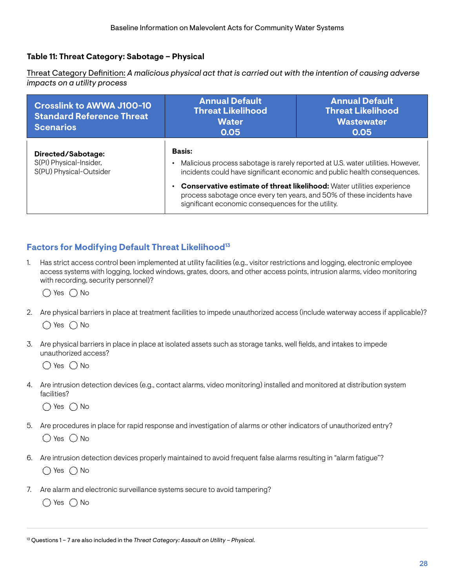### <span id="page-32-0"></span>**Table 11: Threat Category: Sabotage – Physical**

Threat Category Defnition: *A malicious physical act that is carried out with the intention of causing adverse impacts on a utility process* 

| <b>Crosslink to AWWA J100-10</b><br><b>Standard Reference Threat</b><br><b>Scenarios</b> | <b>Annual Default</b><br><b>Threat Likelihood</b><br><b>Water</b><br>0.05                                                                                                                                                                                                                                                                                                               | <b>Annual Default</b><br><b>Threat Likelihood</b><br><b>Wastewater</b><br>0.05 |
|------------------------------------------------------------------------------------------|-----------------------------------------------------------------------------------------------------------------------------------------------------------------------------------------------------------------------------------------------------------------------------------------------------------------------------------------------------------------------------------------|--------------------------------------------------------------------------------|
| Directed/Sabotage:<br>S(PI) Physical-Insider,<br>S(PU) Physical-Outsider                 | <b>Basis:</b><br>Malicious process sabotage is rarely reported at U.S. water utilities. However,<br>incidents could have significant economic and public health consequences.<br>Conservative estimate of threat likelihood: Water utilities experience<br>process sabotage once every ten years, and 50% of these incidents have<br>significant economic consequences for the utility. |                                                                                |

### **Factors for Modifying Default Threat Likelihood<sup>13</sup>**

1. Has strict access control been implemented at utility facilities (e.g., visitor restrictions and logging, electronic employee access systems with logging, locked windows, grates, doors, and other access points, intrusion alarms, video monitoring with recording, security personnel)?

 $\bigcirc$  Yes  $\bigcirc$  No

- 2. Are physical barriers in place at treatment facilities to impede unauthorized access (include waterway access if applicable)?  $\bigcap$  Yes  $\bigcap$  No
- 3. Are physical barriers in place in place at isolated assets such as storage tanks, well felds, and intakes to impede unauthorized access?

 $\bigcirc$  Yes  $\bigcirc$  No

4. Are intrusion detection devices (e.g., contact alarms, video monitoring) installed and monitored at distribution system facilities?

 $\bigcirc$  Yes  $\bigcirc$  No

- 5. Are procedures in place for rapid response and investigation of alarms or other indicators of unauthorized entry?  $\bigcirc$  Yes  $\bigcirc$  No
- 6. Are intrusion detection devices properly maintained to avoid frequent false alarms resulting in "alarm fatigue"?  $\bigcap$  Yes  $\bigcap$  No
- 7. Are alarm and electronic surveillance systems secure to avoid tampering?

 $\bigcirc$  Yes  $\bigcirc$  No

13 Questions 1 – 7 are also included in the *Threat Category: Assault on Utility – Physical.*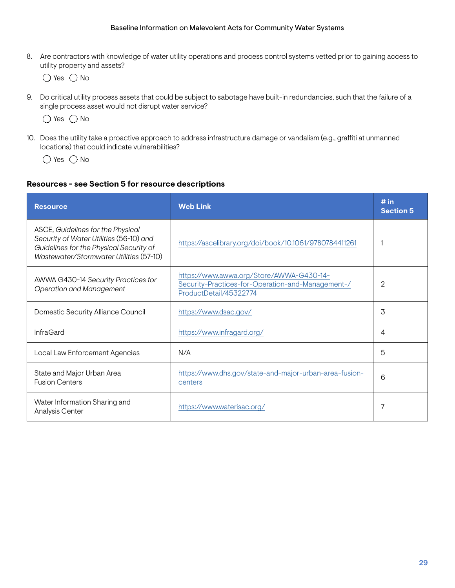8. Are contractors with knowledge of water utility operations and process control systems vetted prior to gaining access to utility property and assets?

 $\bigcirc$  Yes  $\bigcirc$  No

9. Do critical utility process assets that could be subject to sabotage have built-in redundancies, such that the failure of a single process asset would not disrupt water service?

 $\bigcirc$  Yes  $\bigcirc$  No

10. Does the utility take a proactive approach to address infrastructure damage or vandalism (e.g., graffiti at unmanned locations) that could indicate vulnerabilities?

 $\bigcirc$  Yes  $\bigcirc$  No

#### **Resources - see Section 5 for resource descriptions**

| <b>Resource</b>                                                                                                                                                    | <b>Web Link</b>                                                                                                         | # in<br><b>Section 5</b> |
|--------------------------------------------------------------------------------------------------------------------------------------------------------------------|-------------------------------------------------------------------------------------------------------------------------|--------------------------|
| ASCE, Guidelines for the Physical<br>Security of Water Utilities (56-10) and<br>Guidelines for the Physical Security of<br>Wastewater/Stormwater Utilities (57-10) | https://ascelibrary.org/doi/book/10.1061/9780784411261                                                                  |                          |
| AWWA G430-14 Security Practices for<br><b>Operation and Management</b>                                                                                             | https://www.awwa.org/Store/AWWA-G430-14-<br>Security-Practices-for-Operation-and-Management-/<br>ProductDetail/45322774 | $\mathbf{2}$             |
| Domestic Security Alliance Council                                                                                                                                 | https://www.dsac.gov/                                                                                                   | 3                        |
| <b>InfraGard</b>                                                                                                                                                   | https://www.infragard.org/                                                                                              | 4                        |
| Local Law Enforcement Agencies                                                                                                                                     | N/A                                                                                                                     | 5                        |
| State and Major Urban Area<br><b>Fusion Centers</b>                                                                                                                | https://www.dhs.gov/state-and-major-urban-area-fusion-<br>centers                                                       | 6                        |
| Water Information Sharing and<br>Analysis Center                                                                                                                   | https://www.waterisac.org/                                                                                              | 7                        |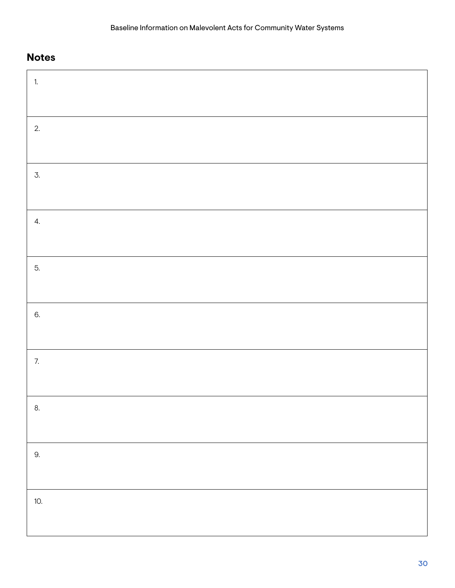# **Notes**

 $\blacksquare$ 

| 1.  |  |
|-----|--|
|     |  |
| 2.  |  |
|     |  |
| 3.  |  |
|     |  |
| 4.  |  |
|     |  |
| 5.  |  |
|     |  |
| 6.  |  |
|     |  |
| 7.  |  |
|     |  |
| 8.  |  |
|     |  |
| 9.  |  |
|     |  |
| 10. |  |
|     |  |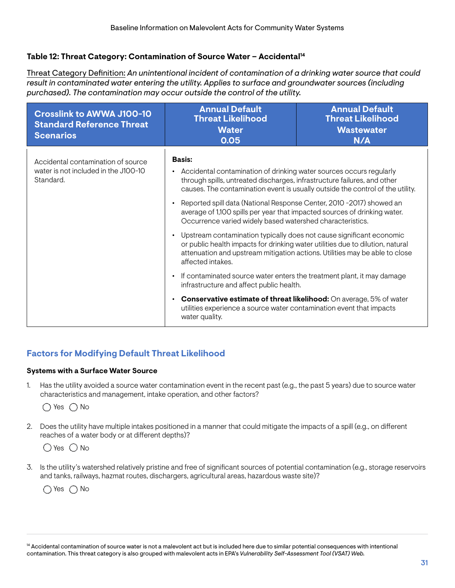#### <span id="page-35-0"></span>**Table 12: Threat Category: Contamination of Source Water – Accidental14**

Threat Category Defnition: *An unintentional incident of contamination of a drinking water source that could result in contaminated water entering the utility. Applies to surface and groundwater sources (including purchased). The contamination may occur outside the control of the utility.* 

| <b>Crosslink to AWWA J100-10</b><br><b>Standard Reference Threat</b><br><b>Scenarios</b> | <b>Annual Default</b><br><b>Threat Likelihood</b><br><b>Water</b><br>0.05                                                                                                                                                                                                                                                                                                                                                                                                         | <b>Annual Default</b><br><b>Threat Likelihood</b><br><b>Wastewater</b><br>N/A |  |
|------------------------------------------------------------------------------------------|-----------------------------------------------------------------------------------------------------------------------------------------------------------------------------------------------------------------------------------------------------------------------------------------------------------------------------------------------------------------------------------------------------------------------------------------------------------------------------------|-------------------------------------------------------------------------------|--|
| Accidental contamination of source<br>water is not included in the J100-10<br>Standard.  | <b>Basis:</b><br>Accidental contamination of drinking water sources occurs regularly<br>$\bullet$<br>through spills, untreated discharges, infrastructure failures, and other<br>causes. The contamination event is usually outside the control of the utility.<br>Reported spill data (National Response Center, 2010 -2017) showed an<br>average of 1,100 spills per year that impacted sources of drinking water.<br>Occurrence varied widely based watershed characteristics. |                                                                               |  |
|                                                                                          |                                                                                                                                                                                                                                                                                                                                                                                                                                                                                   |                                                                               |  |
|                                                                                          | Upstream contamination typically does not cause significant economic<br>or public health impacts for drinking water utilities due to dilution, natural<br>attenuation and upstream mitigation actions. Utilities may be able to close<br>affected intakes.                                                                                                                                                                                                                        |                                                                               |  |
|                                                                                          | If contaminated source water enters the treatment plant, it may damage<br>infrastructure and affect public health.                                                                                                                                                                                                                                                                                                                                                                |                                                                               |  |
|                                                                                          | <b>Conservative estimate of threat likelihood:</b> On average, 5% of water<br>utilities experience a source water contamination event that impacts<br>water quality.                                                                                                                                                                                                                                                                                                              |                                                                               |  |

# **Factors for Modifying Default Threat Likelihood**

#### **Systems with a Surface Water Source**

1. Has the utility avoided a source water contamination event in the recent past (e.g., the past 5 years) due to source water characteristics and management, intake operation, and other factors?

 $\bigcap$  Yes  $\bigcap$  No

2. Does the utility have multiple intakes positioned in a manner that could mitigate the impacts of a spill (e.g., on diferent reaches of a water body or at diferent depths)?



3. Is the utility's watershed relatively pristine and free of signifcant sources of potential contamination (e.g., storage reservoirs and tanks, railways, hazmat routes, dischargers, agricultural areas, hazardous waste site)?

 $\bigcirc$  Yes  $\bigcirc$  No

<sup>&</sup>lt;sup>14</sup> Accidental contamination of source water is not a malevolent act but is included here due to similar potential consequences with intentional contamination. This threat category is also grouped with malevolent acts in EPA's *Vulnerability Self-Assessment Tool (VSAT) Web.*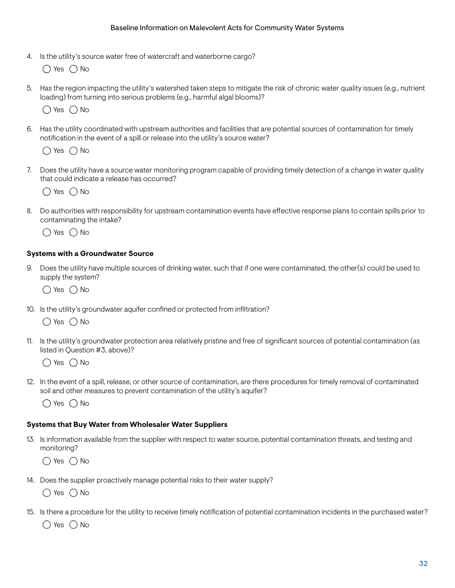4. Is the utility's source water free of watercraft and waterborne cargo?

 $\bigcap$  Yes  $\bigcap$  No

5. Has the region impacting the utility's watershed taken steps to mitigate the risk of chronic water quality issues (e.g., nutrient loading) from turning into serious problems (e.g., harmful algal blooms)?

 $\bigcap$  Yes  $\bigcap$  No

6. Has the utility coordinated with upstream authorities and facilities that are potential sources of contamination for timely notifcation in the event of a spill or release into the utility's source water?

 $\bigcap$  Yes  $\bigcap$  No

7. Does the utility have a source water monitoring program capable of providing timely detection of a change in water quality that could indicate a release has occurred?

 $\bigcirc$  Yes  $\bigcirc$  No

8. Do authorities with responsibility for upstream contamination events have efective response plans to contain spills prior to contaminating the intake?

 $\bigcap$  Yes  $\bigcap$  No

#### **Systems with a Groundwater Source**

9. Does the utility have multiple sources of drinking water, such that if one were contaminated, the other(s) could be used to supply the system?

 $\bigcirc$  Yes  $\bigcirc$  No

10. Is the utility's groundwater aquifer confned or protected from infltration?

 $\bigcap$  Yes  $\bigcap$  No

11. Is the utility's groundwater protection area relatively pristine and free of signifcant sources of potential contamination (as listed in Question #3, above)?

 $\bigcap$  Yes  $\bigcap$  No

12. In the event of a spill, release, or other source of contamination, are there procedures for timely removal of contaminated soil and other measures to prevent contamination of the utility's aquifer?

 $\bigcap$  Yes  $\bigcap$  No

#### **Systems that Buy Water from Wholesaler Water Suppliers**

13. Is information available from the supplier with respect to water source, potential contamination threats, and testing and monitoring?

 $\bigcap$  Yes  $\bigcap$  No

14. Does the supplier proactively manage potential risks to their water supply?

 $\bigcirc$  Yes  $\bigcirc$  No

15. Is there a procedure for the utility to receive timely notifcation of potential contamination incidents in the purchased water?

 $\bigcirc$  Yes  $\bigcirc$  No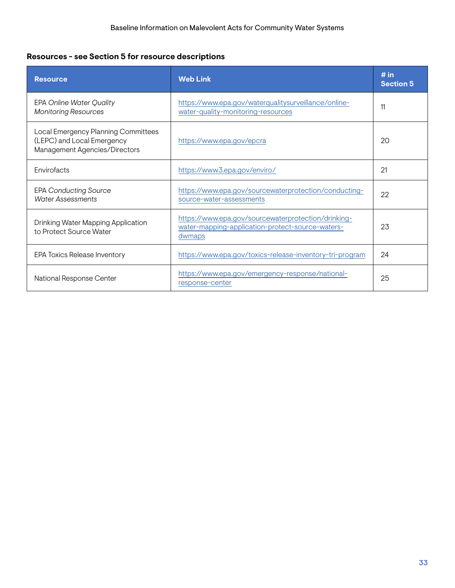# **Resources - see Section 5 for resource descriptions**

| <b>Resource</b>                                                                                    | <b>Web Link</b>                                                                                                   | # in<br><b>Section 5</b> |
|----------------------------------------------------------------------------------------------------|-------------------------------------------------------------------------------------------------------------------|--------------------------|
| <b>EPA Online Water Quality</b><br><b>Monitoring Resources</b>                                     | https://www.epa.gov/waterqualitysurveillance/online-<br>water-quality-monitoring-resources                        | 11                       |
| Local Emergency Planning Committees<br>(LEPC) and Local Emergency<br>Management Agencies/Directors | https://www.epa.gov/epcra                                                                                         | 20                       |
| Envirofacts                                                                                        | https://www3.epa.gov/enviro/                                                                                      | 21                       |
| <b>EPA Conducting Source</b><br><b>Water Assessments</b>                                           | https://www.epa.gov/sourcewaterprotection/conducting-<br>source-water-assessments                                 | 22                       |
| Drinking Water Mapping Application<br>to Protect Source Water                                      | https://www.epa.gov/sourcewaterprotection/drinking-<br>water-mapping-application-protect-source-waters-<br>dwmaps | 23                       |
| EPA Toxics Release Inventory                                                                       | https://www.epa.gov/toxics-release-inventory-tri-program                                                          | 24                       |
| National Response Center                                                                           | https://www.epa.gov/emergency-response/national-<br>response-center                                               | 25                       |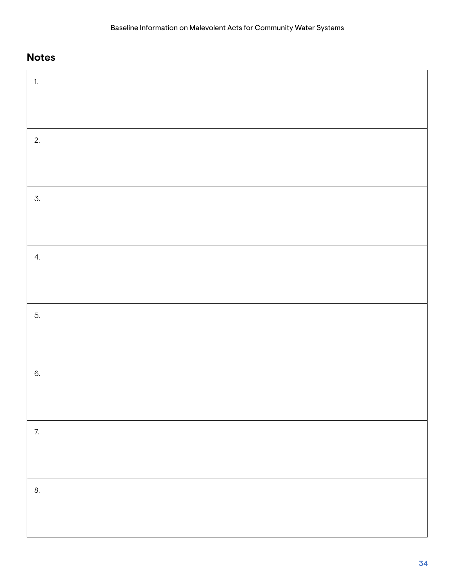| $\overline{1}$ . |  |
|------------------|--|
|                  |  |
|                  |  |
| 2.               |  |
|                  |  |
|                  |  |
| $\mathcal{I}$ .  |  |
|                  |  |
|                  |  |
| 4.               |  |
|                  |  |
| 5.               |  |
|                  |  |
|                  |  |
| 6.               |  |
|                  |  |
|                  |  |
| 7.               |  |
|                  |  |
|                  |  |
| 8.               |  |
|                  |  |
|                  |  |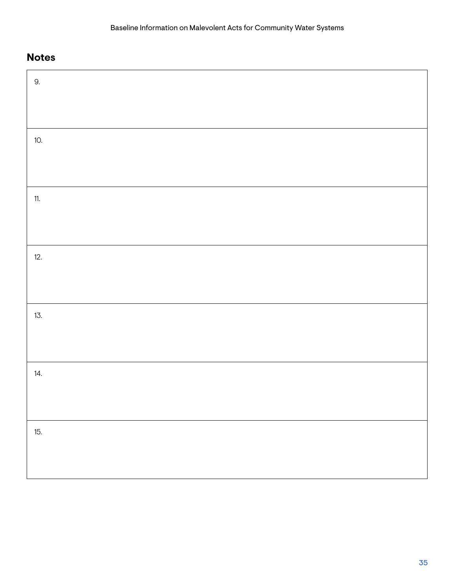| 9.  |  |  |
|-----|--|--|
|     |  |  |
| 10. |  |  |
|     |  |  |
| 11. |  |  |
|     |  |  |
| 12. |  |  |
|     |  |  |
| 13. |  |  |
|     |  |  |
| 14. |  |  |
|     |  |  |
| 15. |  |  |
|     |  |  |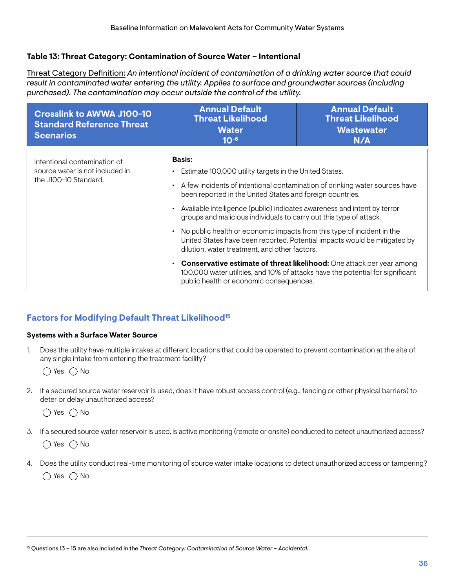#### <span id="page-40-0"></span>**Table 13: Threat Category: Contamination of Source Water – Intentional**

Threat Category Defnition: *An intentional incident of contamination of a drinking water source that could result in contaminated water entering the utility. Applies to surface and groundwater sources (including purchased). The contamination may occur outside the control of the utility.* 

| <b>Crosslink to AWWA J100-10</b><br><b>Standard Reference Threat</b><br><b>Scenarios</b> | <b>Annual Default</b><br><b>Threat Likelihood</b><br><b>Water</b><br>$10^{-6}$                                                                                                                                                                                                                                                                                                                                                                                               | <b>Annual Default</b><br><b>Threat Likelihood</b><br><b>Wastewater</b><br>N/A                                                                                                                                                                                                                                              |
|------------------------------------------------------------------------------------------|------------------------------------------------------------------------------------------------------------------------------------------------------------------------------------------------------------------------------------------------------------------------------------------------------------------------------------------------------------------------------------------------------------------------------------------------------------------------------|----------------------------------------------------------------------------------------------------------------------------------------------------------------------------------------------------------------------------------------------------------------------------------------------------------------------------|
| Intentional contamination of<br>source water is not included in<br>the J100-10 Standard. | Basis:<br>Estimate 100,000 utility targets in the United States.<br>٠<br>$\bullet$<br>been reported in the United States and foreign countries.<br>Available intelligence (public) indicates awareness and intent by terror<br>groups and malicious individuals to carry out this type of attack.<br>No public health or economic impacts from this type of incident in the<br>dilution, water treatment, and other factors.<br>٠<br>public health or economic consequences. | A few incidents of intentional contamination of drinking water sources have<br>United States have been reported. Potential impacts would be mitigated by<br><b>Conservative estimate of threat likelihood:</b> One attack per year among<br>100,000 water utilities, and 10% of attacks have the potential for significant |

### **Factors for Modifying Default Threat Likelihood15**

#### **Systems with a Surface Water Source**

1. Does the utility have multiple intakes at diferent locations that could be operated to prevent contamination at the site of any single intake from entering the treatment facility?

 $\bigcirc$  Yes  $\bigcirc$  No

2. If a secured source water reservoir is used, does it have robust access control (e.g., fencing or other physical barriers) to deter or delay unauthorized access?

 $\bigcirc$  Yes  $\bigcirc$  No

- 3. If a secured source water reservoir is used, is active monitoring (remote or onsite) conducted to detect unauthorized access?  $\bigcirc$  Yes  $\bigcirc$  No
- 4. Does the utility conduct real-time monitoring of source water intake locations to detect unauthorized access or tampering?  $\bigcap$  Yes  $\bigcap$  No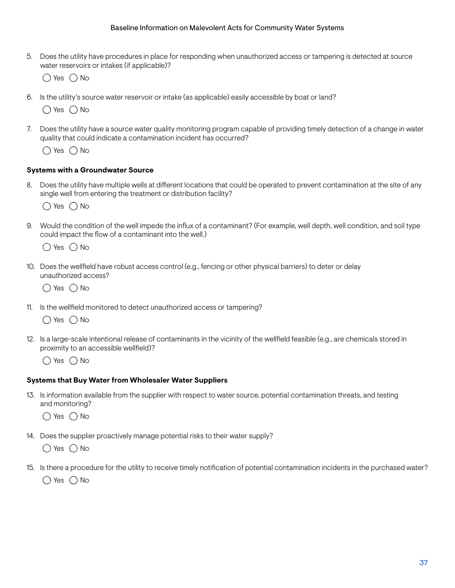5. Does the utility have procedures in place for responding when unauthorized access or tampering is detected at source water reservoirs or intakes (if applicable)?

 $\bigcirc$  Yes  $\bigcirc$  No

6. Is the utility's source water reservoir or intake (as applicable) easily accessible by boat or land?

 $\bigcirc$  Yes  $\bigcirc$  No

7. Does the utility have a source water quality monitoring program capable of providing timely detection of a change in water quality that could indicate a contamination incident has occurred?

 $\bigcap$  Yes  $\bigcap$  No

#### **Systems with a Groundwater Source**

8. Does the utility have multiple wells at diferent locations that could be operated to prevent contamination at the site of any single well from entering the treatment or distribution facility?

 $\bigcap$  Yes  $\bigcap$  No

9. Would the condition of the well impede the infux of a contaminant? (For example, well depth, well condition, and soil type could impact the flow of a contaminant into the well.)

 $\bigcap$  Yes  $\bigcap$  No

10. Does the wellfeld have robust access control (e.g., fencing or other physical barriers) to deter or delay unauthorized access?

 $\bigcap$  Yes  $\bigcap$  No

11. Is the wellfeld monitored to detect unauthorized access or tampering?

 $\bigcap$  Yes  $\bigcap$  No

12. Is a large-scale intentional release of contaminants in the vicinity of the wellfeld feasible (e.g., are chemicals stored in proximity to an accessible wellfield)?

 $\bigcap$  Yes  $\bigcap$  No

#### **Systems that Buy Water from Wholesaler Water Suppliers**

13. Is information available from the supplier with respect to water source, potential contamination threats, and testing and monitoring?

 $\bigcirc$  Yes  $\bigcirc$  No

14. Does the supplier proactively manage potential risks to their water supply?

 $\bigcirc$  Yes  $\bigcirc$  No

15. Is there a procedure for the utility to receive timely notifcation of potential contamination incidents in the purchased water?

 $\bigcap$  Yes  $\bigcap$  No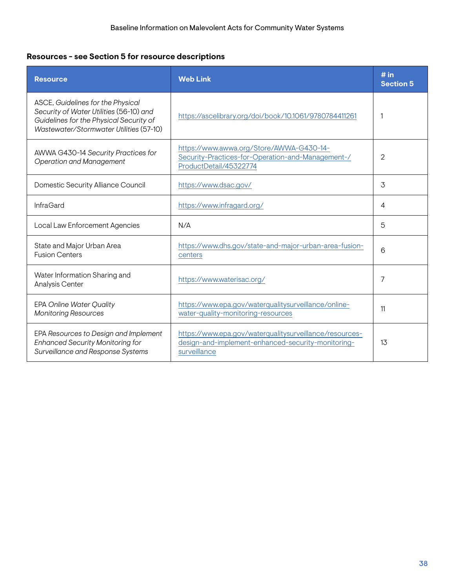# **Resources - see Section 5 for resource descriptions**

| <b>Resource</b>                                                                                                                                                    | <b>Web Link</b>                                                                                                               | # in<br><b>Section 5</b> |
|--------------------------------------------------------------------------------------------------------------------------------------------------------------------|-------------------------------------------------------------------------------------------------------------------------------|--------------------------|
| ASCE, Guidelines for the Physical<br>Security of Water Utilities (56-10) and<br>Guidelines for the Physical Security of<br>Wastewater/Stormwater Utilities (57-10) | https://ascelibrary.org/doi/book/10.1061/9780784411261                                                                        |                          |
| AWWA G430-14 Security Practices for<br><b>Operation and Management</b>                                                                                             | https://www.awwa.org/Store/AWWA-G430-14-<br>Security-Practices-for-Operation-and-Management-/<br>ProductDetail/45322774       | $\overline{2}$           |
| Domestic Security Alliance Council                                                                                                                                 | https://www.dsac.gov/                                                                                                         | 3                        |
| <b>InfraGard</b>                                                                                                                                                   | https://www.infragard.org/                                                                                                    | 4                        |
| Local Law Enforcement Agencies                                                                                                                                     | N/A                                                                                                                           | 5                        |
| State and Major Urban Area<br><b>Fusion Centers</b>                                                                                                                | https://www.dhs.gov/state-and-major-urban-area-fusion-<br>centers                                                             | 6                        |
| Water Information Sharing and<br>Analysis Center                                                                                                                   | https://www.waterisac.org/                                                                                                    | 7                        |
| <b>EPA Online Water Quality</b><br><b>Monitoring Resources</b>                                                                                                     | https://www.epa.gov/waterqualitysurveillance/online-<br>water-quality-monitoring-resources                                    | 11                       |
| EPA Resources to Design and Implement<br><b>Enhanced Security Monitoring for</b><br>Surveillance and Response Systems                                              | https://www.epa.gov/waterqualitysurveillance/resources-<br>design-and-implement-enhanced-security-monitoring-<br>surveillance | 13                       |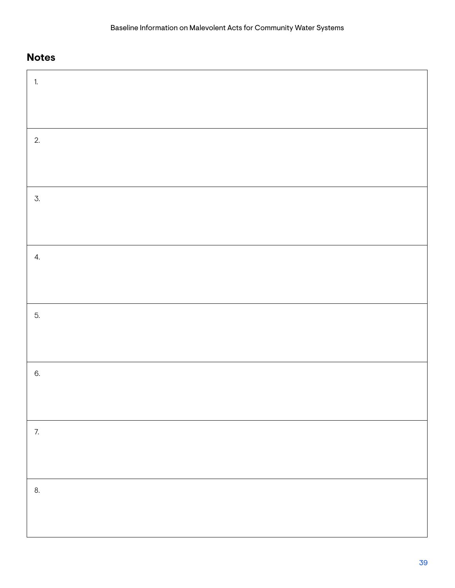| $\overline{1}$ . |  |
|------------------|--|
|                  |  |
|                  |  |
| 2.               |  |
|                  |  |
|                  |  |
| $\mathcal{I}$ .  |  |
|                  |  |
|                  |  |
| 4.               |  |
|                  |  |
|                  |  |
| 5.               |  |
|                  |  |
| 6.               |  |
|                  |  |
|                  |  |
| 7.               |  |
|                  |  |
|                  |  |
| 8.               |  |
|                  |  |
|                  |  |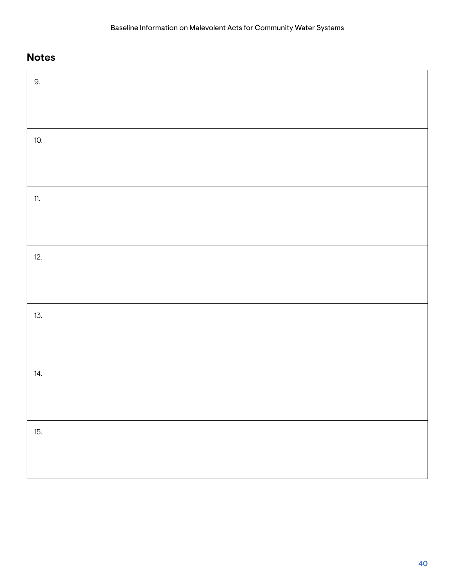| 9.  |  |  |
|-----|--|--|
|     |  |  |
| 10. |  |  |
|     |  |  |
| 11. |  |  |
|     |  |  |
| 12. |  |  |
|     |  |  |
| 13. |  |  |
|     |  |  |
| 14. |  |  |
|     |  |  |
| 15. |  |  |
|     |  |  |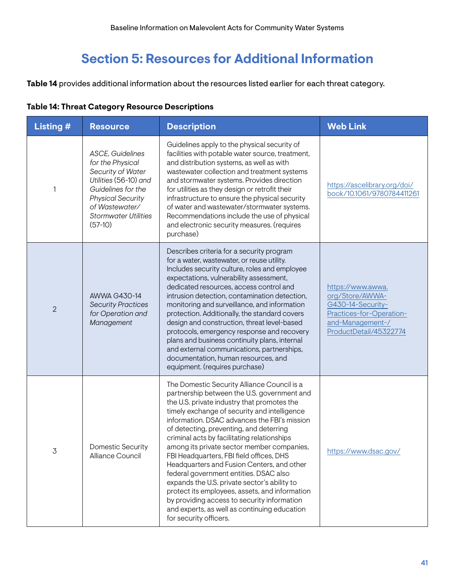# **Section 5: Resources for Additional Information**

<span id="page-45-0"></span>**Table 14** provides additional information about the resources listed earlier for each threat category.

### **Table 14: Threat Category Resource Descriptions**

| <b>Listing #</b> | <b>Resource</b>                                                                                                                                                                                           | <b>Description</b>                                                                                                                                                                                                                                                                                                                                                                                                                                                                                                                                                                                                                                                                                                                               | <b>Web Link</b>                                                                                                                     |
|------------------|-----------------------------------------------------------------------------------------------------------------------------------------------------------------------------------------------------------|--------------------------------------------------------------------------------------------------------------------------------------------------------------------------------------------------------------------------------------------------------------------------------------------------------------------------------------------------------------------------------------------------------------------------------------------------------------------------------------------------------------------------------------------------------------------------------------------------------------------------------------------------------------------------------------------------------------------------------------------------|-------------------------------------------------------------------------------------------------------------------------------------|
| 1                | <b>ASCE, Guidelines</b><br>for the Physical<br>Security of Water<br>Utilities (56-10) and<br>Guidelines for the<br><b>Physical Security</b><br>of Wastewater/<br><b>Stormwater Utilities</b><br>$(57-10)$ | Guidelines apply to the physical security of<br>facilities with potable water source, treatment,<br>and distribution systems, as well as with<br>wastewater collection and treatment systems<br>and stormwater systems. Provides direction<br>for utilities as they design or retrofit their<br>infrastructure to ensure the physical security<br>of water and wastewater/stormwater systems.<br>Recommendations include the use of physical<br>and electronic security measures. (requires<br>purchase)                                                                                                                                                                                                                                         | https://ascelibrary.org/doi/<br>book/10.1061/9780784411261                                                                          |
| $\overline{2}$   | AWWA G430-14<br><b>Security Practices</b><br>for Operation and<br>Management                                                                                                                              | Describes criteria for a security program<br>for a water, wastewater, or reuse utility.<br>Includes security culture, roles and employee<br>expectations, vulnerability assessment,<br>dedicated resources, access control and<br>intrusion detection, contamination detection,<br>monitoring and surveillance, and information<br>protection. Additionally, the standard covers<br>design and construction, threat level-based<br>protocols, emergency response and recovery<br>plans and business continuity plans, internal<br>and external communications, partnerships,<br>documentation, human resources, and<br>equipment. (requires purchase)                                                                                            | https://www.awwa.<br>org/Store/AWWA-<br>G430-14-Security-<br>Practices-for-Operation-<br>and-Management-/<br>ProductDetail/45322774 |
| 3                | <b>Domestic Security</b><br>Alliance Council                                                                                                                                                              | The Domestic Security Alliance Council is a<br>partnership between the U.S. government and<br>the U.S. private industry that promotes the<br>timely exchange of security and intelligence<br>information. DSAC advances the FBI's mission<br>of detecting, preventing, and deterring<br>criminal acts by facilitating relationships<br>among its private sector member companies,<br>FBI Headquarters, FBI field offices, DHS<br>Headquarters and Fusion Centers, and other<br>federal government entities. DSAC also<br>expands the U.S. private sector's ability to<br>protect its employees, assets, and information<br>by providing access to security information<br>and experts, as well as continuing education<br>for security officers. | https://www.dsac.gov/                                                                                                               |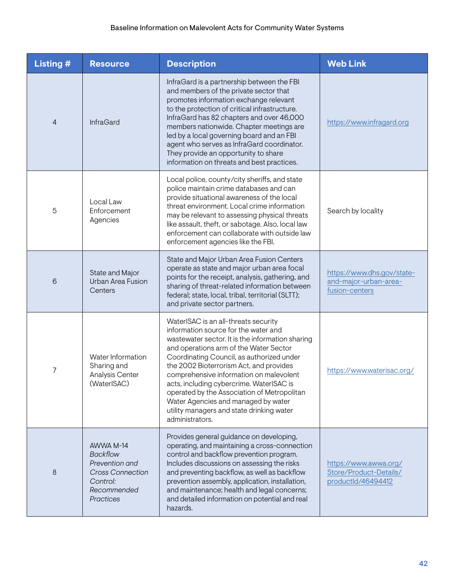| <b>Listing #</b> | <b>Resource</b>                                                                                                   | <b>Description</b>                                                                                                                                                                                                                                                                                                                                                                                                                                                                                              | <b>Web Link</b>                                                       |
|------------------|-------------------------------------------------------------------------------------------------------------------|-----------------------------------------------------------------------------------------------------------------------------------------------------------------------------------------------------------------------------------------------------------------------------------------------------------------------------------------------------------------------------------------------------------------------------------------------------------------------------------------------------------------|-----------------------------------------------------------------------|
| 4                | <b>InfraGard</b>                                                                                                  | InfraGard is a partnership between the FBI<br>and members of the private sector that<br>promotes information exchange relevant<br>to the protection of critical infrastructure.<br>InfraGard has 82 chapters and over 46,000<br>members nationwide. Chapter meetings are<br>led by a local governing board and an FBI<br>agent who serves as InfraGard coordinator.<br>They provide an opportunity to share<br>information on threats and best practices.                                                       | https://www.infragard.org                                             |
| 5                | Local Law<br>Enforcement<br>Agencies                                                                              | Local police, county/city sheriffs, and state<br>police maintain crime databases and can<br>provide situational awareness of the local<br>threat environment. Local crime information<br>may be relevant to assessing physical threats<br>like assault, theft, or sabotage. Also, local law<br>enforcement can collaborate with outside law<br>enforcement agencies like the FBI.                                                                                                                               | Search by locality                                                    |
| 6                | State and Major<br>Urban Area Fusion<br>Centers                                                                   | State and Major Urban Area Fusion Centers<br>operate as state and major urban area focal<br>points for the receipt, analysis, gathering, and<br>sharing of threat-related information between<br>federal; state, local, tribal, territorial (SLTT);<br>and private sector partners.                                                                                                                                                                                                                             | https://www.dhs.gov/state-<br>and-major-urban-area-<br>fusion-centers |
| 7                | Water Information<br>Sharing and<br>Analysis Center<br>(WaterISAC)                                                | WaterISAC is an all-threats security<br>information source for the water and<br>wastewater sector. It is the information sharing<br>and operations arm of the Water Sector<br>Coordinating Council, as authorized under<br>the 2002 Bioterrorism Act, and provides<br>comprehensive information on malevolent<br>acts, including cybercrime. WaterISAC is<br>operated by the Association of Metropolitan<br>Water Agencies and managed by water<br>utility managers and state drinking water<br>administrators. | https://www.waterisac.org/                                            |
| 8                | AWWA M-14<br><b>Backflow</b><br>Prevention and<br><b>Cross Connection</b><br>Control:<br>Recommended<br>Practices | Provides general guidance on developing,<br>operating, and maintaining a cross-connection<br>control and backflow prevention program.<br>Includes discussions on assessing the risks<br>and preventing backflow, as well as backflow<br>prevention assembly, application, installation,<br>and maintenance; health and legal concerns;<br>and detailed information on potential and real<br>hazards.                                                                                                            | https://www.awwa.org/<br>Store/Product-Details/<br>productId/46494412 |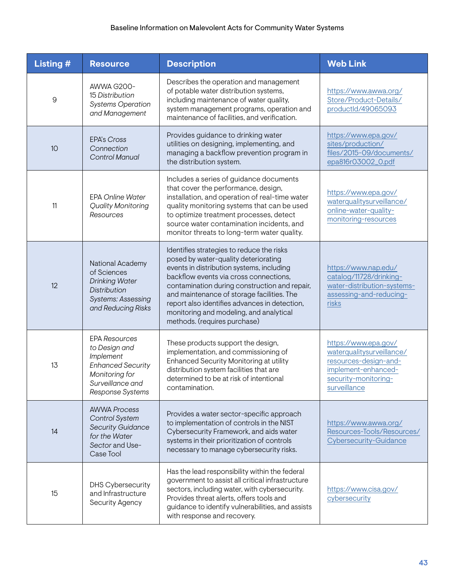### Baseline Information on Malevolent Acts for Community Water Systems

| <b>Listing #</b> | <b>Resource</b>                                                                                                                          | <b>Description</b>                                                                                                                                                                                                                                                                                                                                                                                  | <b>Web Link</b>                                                                                                                           |
|------------------|------------------------------------------------------------------------------------------------------------------------------------------|-----------------------------------------------------------------------------------------------------------------------------------------------------------------------------------------------------------------------------------------------------------------------------------------------------------------------------------------------------------------------------------------------------|-------------------------------------------------------------------------------------------------------------------------------------------|
| $\mathsf 9$      | AWWA G200-<br>15 Distribution<br><b>Systems Operation</b><br>and Management                                                              | Describes the operation and management<br>of potable water distribution systems,<br>including maintenance of water quality,<br>system management programs, operation and<br>maintenance of facilities, and verification.                                                                                                                                                                            | https://www.awwa.org/<br>Store/Product-Details/<br>productId/49065093                                                                     |
| 10               | <b>EPA's Cross</b><br>Connection<br>Control Manual                                                                                       | Provides guidance to drinking water<br>utilities on designing, implementing, and<br>managing a backflow prevention program in<br>the distribution system.                                                                                                                                                                                                                                           | https://www.epa.gov/<br>sites/production/<br>files/2015-09/documents/<br>epa816r03002_0.pdf                                               |
| 11               | <b>EPA Online Water</b><br><b>Quality Monitoring</b><br>Resources                                                                        | Includes a series of guidance documents<br>that cover the performance, design,<br>installation, and operation of real-time water<br>quality monitoring systems that can be used<br>to optimize treatment processes, detect<br>source water contamination incidents, and<br>monitor threats to long-term water quality.                                                                              | https://www.epa.gov/<br>waterqualitysurveillance/<br>online-water-quality-<br>monitoring-resources                                        |
| 12               | National Academy<br>of Sciences<br><b>Drinking Water</b><br><b>Distribution</b><br>Systems: Assessing<br>and Reducing Risks              | Identifies strategies to reduce the risks<br>posed by water-quality deteriorating<br>events in distribution systems, including<br>backflow events via cross connections,<br>contamination during construction and repair,<br>and maintenance of storage facilities. The<br>report also identifies advances in detection,<br>monitoring and modeling, and analytical<br>methods. (requires purchase) | https://www.nap.edu/<br>catalog/11728/drinking-<br>water-distribution-systems-<br>assessing-and-reducing-<br>risks                        |
| 13               | <b>EPA Resources</b><br>to Design and<br>Implement<br><b>Enhanced Security</b><br>Monitoring for<br>Surveillance and<br>Response Systems | These products support the design,<br>implementation, and commissioning of<br>Enhanced Security Monitoring at utility<br>distribution system facilities that are<br>determined to be at risk of intentional<br>contamination.                                                                                                                                                                       | https://www.epa.gov/<br>waterqualitysurveillance/<br>resources-design-and-<br>implement-enhanced-<br>security-monitoring-<br>surveillance |
| 14               | <b>AWWA Process</b><br>Control System<br><b>Security Guidance</b><br>for the Water<br>Sector and Use-<br>Case Tool                       | Provides a water sector-specific approach<br>to implementation of controls in the NIST<br>Cybersecurity Framework, and aids water<br>systems in their prioritization of controls<br>necessary to manage cybersecurity risks.                                                                                                                                                                        | https://www.awwa.org/<br>Resources-Tools/Resources/<br>Cybersecurity-Guidance                                                             |
| 15               | <b>DHS Cybersecurity</b><br>and Infrastructure<br>Security Agency                                                                        | Has the lead responsibility within the federal<br>government to assist all critical infrastructure<br>sectors, including water, with cybersecurity.<br>Provides threat alerts, offers tools and<br>guidance to identify vulnerabilities, and assists<br>with response and recovery.                                                                                                                 | https://www.cisa.gov/<br>cybersecurity                                                                                                    |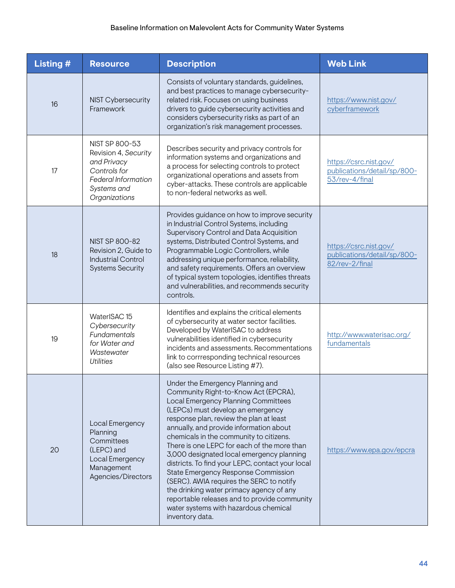| <b>Listing #</b> | <b>Resource</b>                                                                                                                     | <b>Description</b>                                                                                                                                                                                                                                                                                                                                                                                                                                                                                                                                                                                                                                                               | <b>Web Link</b>                                                         |
|------------------|-------------------------------------------------------------------------------------------------------------------------------------|----------------------------------------------------------------------------------------------------------------------------------------------------------------------------------------------------------------------------------------------------------------------------------------------------------------------------------------------------------------------------------------------------------------------------------------------------------------------------------------------------------------------------------------------------------------------------------------------------------------------------------------------------------------------------------|-------------------------------------------------------------------------|
| 16               | <b>NIST Cybersecurity</b><br>Framework                                                                                              | Consists of voluntary standards, guidelines,<br>and best practices to manage cybersecurity-<br>related risk. Focuses on using business<br>drivers to guide cybersecurity activities and<br>considers cybersecurity risks as part of an<br>organization's risk management processes.                                                                                                                                                                                                                                                                                                                                                                                              | https://www.nist.gov/<br>cyberframework                                 |
| 17               | NIST SP 800-53<br>Revision 4, Security<br>and Privacy<br>Controls for<br><b>Federal Information</b><br>Systems and<br>Organizations | Describes security and privacy controls for<br>information systems and organizations and<br>a process for selecting controls to protect<br>organizational operations and assets from<br>cyber-attacks. These controls are applicable<br>to non-federal networks as well.                                                                                                                                                                                                                                                                                                                                                                                                         | https://csrc.nist.gov/<br>publications/detail/sp/800-<br>53/rev-4/final |
| 18               | <b>NIST SP 800-82</b><br>Revision 2, Guide to<br><b>Industrial Control</b><br><b>Systems Security</b>                               | Provides guidance on how to improve security<br>in Industrial Control Systems, including<br>Supervisory Control and Data Acquisition<br>systems, Distributed Control Systems, and<br>Programmable Logic Controllers, while<br>addressing unique performance, reliability,<br>and safety requirements. Offers an overview<br>of typical system topologies, identifies threats<br>and vulnerabilities, and recommends security<br>controls.                                                                                                                                                                                                                                        | https://csrc.nist.gov/<br>publications/detail/sp/800-<br>82/rev-2/final |
| 19               | WaterISAC 15<br>Cybersecurity<br>Fundamentals<br>for Water and<br>Wastewater<br><b>Utilities</b>                                    | Identifies and explains the critical elements<br>of cybersecurity at water sector facilities.<br>Developed by WaterISAC to address<br>vulnerabilities identified in cybersecurity<br>incidents and assessments. Recommentations<br>link to corrresponding technical resources<br>(also see Resource Listing #7).                                                                                                                                                                                                                                                                                                                                                                 | http://www.waterisac.org/<br>fundamentals                               |
| 20               | Local Emergency<br>Planning<br>Committees<br>(LEPC) and<br>Local Emergency<br>Management<br>Agencies/Directors                      | Under the Emergency Planning and<br>Community Right-to-Know Act (EPCRA),<br>Local Emergency Planning Committees<br>(LEPCs) must develop an emergency<br>response plan, review the plan at least<br>annually, and provide information about<br>chemicals in the community to citizens.<br>There is one LEPC for each of the more than<br>3,000 designated local emergency planning<br>districts. To find your LEPC, contact your local<br>State Emergency Response Commission<br>(SERC). AWIA requires the SERC to notify<br>the drinking water primacy agency of any<br>reportable releases and to provide community<br>water systems with hazardous chemical<br>inventory data. | https://www.epa.gov/epcra                                               |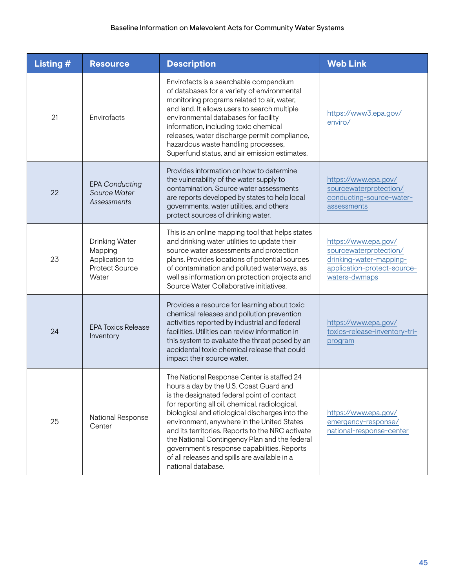| <b>Listing #</b> | <b>Resource</b>                                                               | <b>Description</b>                                                                                                                                                                                                                                                                                                                                                                                                                                                                                               | <b>Web Link</b>                                                                                                           |
|------------------|-------------------------------------------------------------------------------|------------------------------------------------------------------------------------------------------------------------------------------------------------------------------------------------------------------------------------------------------------------------------------------------------------------------------------------------------------------------------------------------------------------------------------------------------------------------------------------------------------------|---------------------------------------------------------------------------------------------------------------------------|
| 21               | Envirofacts                                                                   | Envirofacts is a searchable compendium<br>of databases for a variety of environmental<br>monitoring programs related to air, water,<br>and land. It allows users to search multiple<br>environmental databases for facility<br>information, including toxic chemical<br>releases, water discharge permit compliance,<br>hazardous waste handling processes,<br>Superfund status, and air emission estimates.                                                                                                     | https://www3.epa.gov/<br>enviro/                                                                                          |
| 22               | <b>EPA Conducting</b><br>Source Water<br><b>Assessments</b>                   | Provides information on how to determine<br>the vulnerability of the water supply to<br>contamination. Source water assessments<br>are reports developed by states to help local<br>governments, water utilities, and others<br>protect sources of drinking water.                                                                                                                                                                                                                                               | https://www.epa.gov/<br>sourcewaterprotection/<br>conducting-source-water-<br>assessments                                 |
| 23               | Drinking Water<br>Mapping<br>Application to<br><b>Protect Source</b><br>Water | This is an online mapping tool that helps states<br>and drinking water utilities to update their<br>source water assessments and protection<br>plans. Provides locations of potential sources<br>of contamination and polluted waterways, as<br>well as information on protection projects and<br>Source Water Collaborative initiatives.                                                                                                                                                                        | https://www.epa.gov/<br>sourcewaterprotection/<br>drinking-water-mapping-<br>application-protect-source-<br>waters-dwmaps |
| 24               | <b>EPA Toxics Release</b><br>Inventory                                        | Provides a resource for learning about toxic<br>chemical releases and pollution prevention<br>activities reported by industrial and federal<br>facilities. Utilities can review information in<br>this system to evaluate the threat posed by an<br>accidental toxic chemical release that could<br>impact their source water.                                                                                                                                                                                   | https://www.epa.gov/<br>toxics-release-inventory-tri-<br>program                                                          |
| 25               | National Response<br>Center                                                   | The National Response Center is staffed 24<br>hours a day by the U.S. Coast Guard and<br>is the designated federal point of contact<br>for reporting all oil, chemical, radiological,<br>biological and etiological discharges into the<br>environment, anywhere in the United States<br>and its territories. Reports to the NRC activate<br>the National Contingency Plan and the federal<br>government's response capabilities. Reports<br>of all releases and spills are available in a<br>national database. | https://www.epa.gov/<br>emergency-response/<br>national-response-center                                                   |